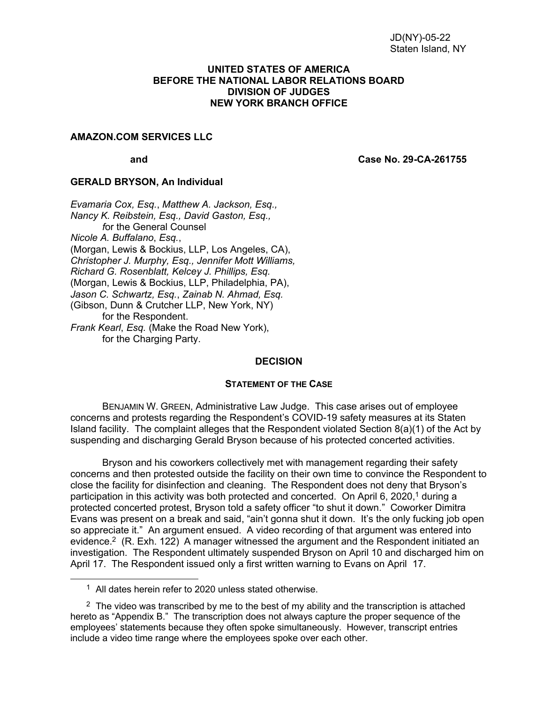#### **UNITED STATES OF AMERICA BEFORE THE NATIONAL LABOR RELATIONS BOARD DIVISION OF JUDGES NEW YORK BRANCH OFFICE**

### **AMAZON.COM SERVICES LLC**

**and Case No. 29-CA-261755**

#### **GERALD BRYSON, An Individual**

*Evamaria Cox, Esq.*, *Matthew A. Jackson, Esq., Nancy K. Reibstein, Esq., David Gaston, Esq., f*or the General Counsel *Nicole A. Buffalano*, *Esq.*, (Morgan, Lewis & Bockius, LLP, Los Angeles, CA), *Christopher J. Murphy, Esq., Jennifer Mott Williams, Richard G. Rosenblatt, Kelcey J. Phillips, Esq.*  (Morgan, Lewis & Bockius, LLP, Philadelphia, PA), *Jason C. Schwartz, Esq.*, *Zainab N. Ahmad, Esq.* (Gibson, Dunn & Crutcher LLP, New York, NY) for the Respondent. *Frank Kearl*, *Esq.* (Make the Road New York), for the Charging Party.

#### **DECISION**

#### **STATEMENT OF THE CASE**

BENJAMIN W. GREEN, Administrative Law Judge. This case arises out of employee concerns and protests regarding the Respondent's COVID-19 safety measures at its Staten Island facility. The complaint alleges that the Respondent violated Section 8(a)(1) of the Act by suspending and discharging Gerald Bryson because of his protected concerted activities.

Bryson and his coworkers collectively met with management regarding their safety concerns and then protested outside the facility on their own time to convince the Respondent to close the facility for disinfection and cleaning. The Respondent does not deny that Bryson's participation in this activity was both protected and concerted. On April 6, 2020,<sup>1</sup> during a protected concerted protest, Bryson told a safety officer "to shut it down." Coworker Dimitra Evans was present on a break and said, "ain't gonna shut it down. It's the only fucking job open so appreciate it." An argument ensued. A video recording of that argument was entered into evidence.<sup>2</sup> (R. Exh. 122) A manager witnessed the argument and the Respondent initiated an investigation. The Respondent ultimately suspended Bryson on April 10 and discharged him on April 17. The Respondent issued only a first written warning to Evans on April 17.

<sup>1</sup> All dates herein refer to 2020 unless stated otherwise.

 $2\text{ }$  The video was transcribed by me to the best of my ability and the transcription is attached hereto as "Appendix B." The transcription does not always capture the proper sequence of the employees' statements because they often spoke simultaneously. However, transcript entries include a video time range where the employees spoke over each other.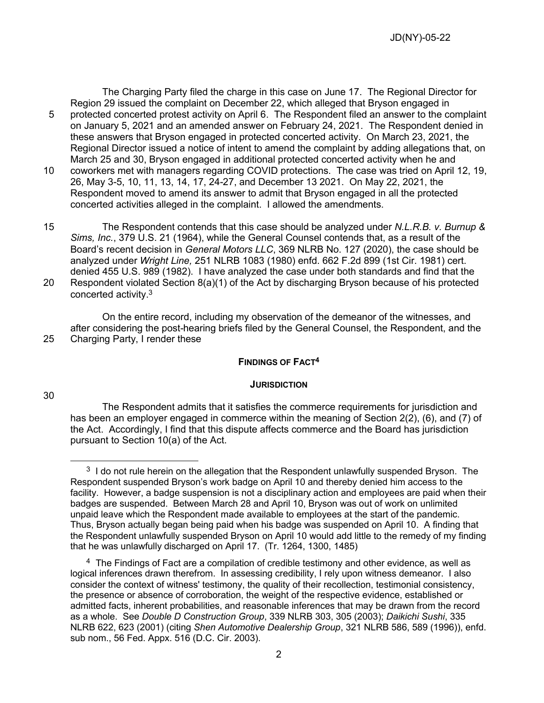The Charging Party filed the charge in this case on June 17. The Regional Director for Region 29 issued the complaint on December 22, which alleged that Bryson engaged in 5 protected concerted protest activity on April 6. The Respondent filed an answer to the complaint on January 5, 2021 and an amended answer on February 24, 2021. The Respondent denied in these answers that Bryson engaged in protected concerted activity. On March 23, 2021, the Regional Director issued a notice of intent to amend the complaint by adding allegations that, on March 25 and 30, Bryson engaged in additional protected concerted activity when he and

10 coworkers met with managers regarding COVID protections. The case was tried on April 12, 19, 26, May 3-5, 10, 11, 13, 14, 17, 24-27, and December 13 2021. On May 22, 2021, the Respondent moved to amend its answer to admit that Bryson engaged in all the protected concerted activities alleged in the complaint. I allowed the amendments.

15 The Respondent contends that this case should be analyzed under *N.L.R.B. v. Burnup & Sims, Inc.*, 379 U.S. 21 (1964), while the General Counsel contends that, as a result of the Board's recent decision in *General Motors LLC*, 369 NLRB No. 127 (2020), the case should be analyzed under *Wright Line,* 251 NLRB 1083 (1980) enfd. 662 F.2d 899 (1st Cir. 1981) cert. denied 455 U.S. 989 (1982). I have analyzed the case under both standards and find that the 20 Respondent violated Section 8(a)(1) of the Act by discharging Bryson because of his protected concerted activity.<sup>3</sup>

On the entire record, including my observation of the demeanor of the witnesses, and after considering the post-hearing briefs filed by the General Counsel, the Respondent, and the 25 Charging Party, I render these

### **FINDINGS OF FACT<sup>4</sup>**

### **JURISDICTION**

The Respondent admits that it satisfies the commerce requirements for jurisdiction and has been an employer engaged in commerce within the meaning of Section 2(2), (6), and (7) of the Act. Accordingly, I find that this dispute affects commerce and the Board has jurisdiction pursuant to Section 10(a) of the Act.

30

 $3<sup>3</sup>$  I do not rule herein on the allegation that the Respondent unlawfully suspended Bryson. The Respondent suspended Bryson's work badge on April 10 and thereby denied him access to the facility. However, a badge suspension is not a disciplinary action and employees are paid when their badges are suspended. Between March 28 and April 10, Bryson was out of work on unlimited unpaid leave which the Respondent made available to employees at the start of the pandemic. Thus, Bryson actually began being paid when his badge was suspended on April 10. A finding that the Respondent unlawfully suspended Bryson on April 10 would add little to the remedy of my finding that he was unlawfully discharged on April 17. (Tr. 1264, 1300, 1485)

<sup>4</sup> The Findings of Fact are a compilation of credible testimony and other evidence, as well as logical inferences drawn therefrom. In assessing credibility, I rely upon witness demeanor. I also consider the context of witness' testimony, the quality of their recollection, testimonial consistency, the presence or absence of corroboration, the weight of the respective evidence, established or admitted facts, inherent probabilities, and reasonable inferences that may be drawn from the record as a whole. See *Double D Construction Group*, 339 NLRB 303, 305 (2003); *Daikichi Sushi*, 335 NLRB 622, 623 (2001) (citing *Shen Automotive Dealership Group*, 321 NLRB 586, 589 (1996)), enfd. sub nom., 56 Fed. Appx. 516 (D.C. Cir. 2003).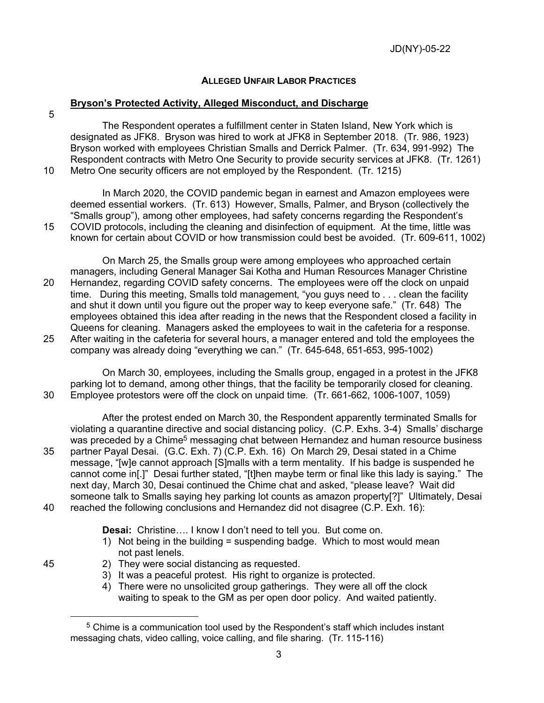# **ALLEGED UNFAIR LABOR PRACTICES**

# **Bryson's Protected Activity, Alleged Misconduct, and Discharge**

5

The Respondent operates a fulfillment center in Staten Island, New York which is designated as JFK8. Bryson was hired to work at JFK8 in September 2018. (Tr. 986, 1923) Bryson worked with employees Christian Smalls and Derrick Palmer. (Tr. 634, 991-992) The Respondent contracts with Metro One Security to provide security services at JFK8. (Tr. 1261) 10 Metro One security officers are not employed by the Respondent. (Tr. 1215)

In March 2020, the COVID pandemic began in earnest and Amazon employees were deemed essential workers. (Tr. 613) However, Smalls, Palmer, and Bryson (collectively the "Smalls group"), among other employees, had safety concerns regarding the Respondent's 15 COVID protocols, including the cleaning and disinfection of equipment. At the time, little was known for certain about COVID or how transmission could best be avoided. (Tr. 609-611, 1002)

On March 25, the Smalls group were among employees who approached certain managers, including General Manager Sai Kotha and Human Resources Manager Christine 20 Hernandez, regarding COVID safety concerns. The employees were off the clock on unpaid time. During this meeting, Smalls told management, "you guys need to . . . clean the facility and shut it down until you figure out the proper way to keep everyone safe." (Tr. 648) The employees obtained this idea after reading in the news that the Respondent closed a facility in Queens for cleaning. Managers asked the employees to wait in the cafeteria for a response. 25 After waiting in the cafeteria for several hours, a manager entered and told the employees the company was already doing "everything we can." (Tr. 645-648, 651-653, 995-1002)

On March 30, employees, including the Smalls group, engaged in a protest in the JFK8 parking lot to demand, among other things, that the facility be temporarily closed for cleaning. 30 Employee protestors were off the clock on unpaid time. (Tr. 661-662, 1006-1007, 1059)

After the protest ended on March 30, the Respondent apparently terminated Smalls for violating a quarantine directive and social distancing policy. (C.P. Exhs. 3-4) Smalls' discharge was preceded by a Chime<sup>5</sup> messaging chat between Hernandez and human resource business 35 partner Payal Desai. (G.C. Exh. 7) (C.P. Exh. 16) On March 29, Desai stated in a Chime message, "[w]e cannot approach [S]malls with a term mentality. If his badge is suspended he cannot come in[.]" Desai further stated, "[t]hen maybe term or final like this lady is saying." The next day, March 30, Desai continued the Chime chat and asked, "please leave? Wait did someone talk to Smalls saying hey parking lot counts as amazon property[?]" Ultimately, Desai 40 reached the following conclusions and Hernandez did not disagree (C.P. Exh. 16):

**Desai:** Christine…. I know I don't need to tell you. But come on.

- 1) Not being in the building = suspending badge. Which to most would mean not past lenels.
- 
- 45 2) They were social distancing as requested.
	- 3) It was a peaceful protest. His right to organize is protected.
	- 4) There were no unsolicited group gatherings. They were all off the clock waiting to speak to the GM as per open door policy. And waited patiently.

<sup>5</sup> Chime is a communication tool used by the Respondent's staff which includes instant messaging chats, video calling, voice calling, and file sharing. (Tr. 115-116)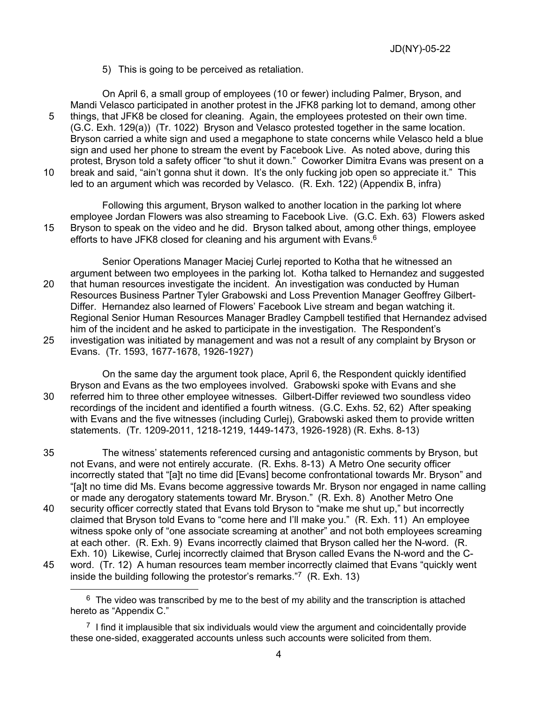5) This is going to be perceived as retaliation.

On April 6, a small group of employees (10 or fewer) including Palmer, Bryson, and Mandi Velasco participated in another protest in the JFK8 parking lot to demand, among other 5 things, that JFK8 be closed for cleaning. Again, the employees protested on their own time. (G.C. Exh. 129(a)) (Tr. 1022) Bryson and Velasco protested together in the same location. Bryson carried a white sign and used a megaphone to state concerns while Velasco held a blue sign and used her phone to stream the event by Facebook Live. As noted above, during this protest, Bryson told a safety officer "to shut it down." Coworker Dimitra Evans was present on a 10 break and said, "ain't gonna shut it down. It's the only fucking job open so appreciate it." This led to an argument which was recorded by Velasco. (R. Exh. 122) (Appendix B, infra)

Following this argument, Bryson walked to another location in the parking lot where employee Jordan Flowers was also streaming to Facebook Live. (G.C. Exh. 63) Flowers asked 15 Bryson to speak on the video and he did. Bryson talked about, among other things, employee efforts to have JFK8 closed for cleaning and his argument with Evans.<sup>6</sup>

Senior Operations Manager Maciej Curlej reported to Kotha that he witnessed an argument between two employees in the parking lot. Kotha talked to Hernandez and suggested 20 that human resources investigate the incident. An investigation was conducted by Human Resources Business Partner Tyler Grabowski and Loss Prevention Manager Geoffrey Gilbert-Differ. Hernandez also learned of Flowers' Facebook Live stream and began watching it. Regional Senior Human Resources Manager Bradley Campbell testified that Hernandez advised him of the incident and he asked to participate in the investigation. The Respondent's 25 investigation was initiated by management and was not a result of any complaint by Bryson or Evans. (Tr. 1593, 1677-1678, 1926-1927)

On the same day the argument took place, April 6, the Respondent quickly identified Bryson and Evans as the two employees involved. Grabowski spoke with Evans and she 30 referred him to three other employee witnesses. Gilbert-Differ reviewed two soundless video recordings of the incident and identified a fourth witness. (G.C. Exhs. 52, 62) After speaking with Evans and the five witnesses (including Curlej), Grabowski asked them to provide written statements. (Tr. 1209-2011, 1218-1219, 1449-1473, 1926-1928) (R. Exhs. 8-13)

35 The witness' statements referenced cursing and antagonistic comments by Bryson, but not Evans, and were not entirely accurate. (R. Exhs. 8-13) A Metro One security officer incorrectly stated that "[a]t no time did [Evans] become confrontational towards Mr. Bryson" and "[a]t no time did Ms. Evans become aggressive towards Mr. Bryson nor engaged in name calling or made any derogatory statements toward Mr. Bryson." (R. Exh. 8) Another Metro One

- 40 security officer correctly stated that Evans told Bryson to "make me shut up," but incorrectly claimed that Bryson told Evans to "come here and I'll make you." (R. Exh. 11) An employee witness spoke only of "one associate screaming at another" and not both employees screaming at each other. (R. Exh. 9) Evans incorrectly claimed that Bryson called her the N-word. (R. Exh. 10) Likewise, Curlej incorrectly claimed that Bryson called Evans the N-word and the C-
- 45 word. (Tr. 12) A human resources team member incorrectly claimed that Evans "quickly went inside the building following the protestor's remarks."7 (R. Exh. 13)

 $6\text{ The video was transcribed by me to the best of my ability and the transcription is attached}$ hereto as "Appendix C."

 $<sup>7</sup>$  I find it implausible that six individuals would view the argument and coincidentally provide</sup> these one-sided, exaggerated accounts unless such accounts were solicited from them.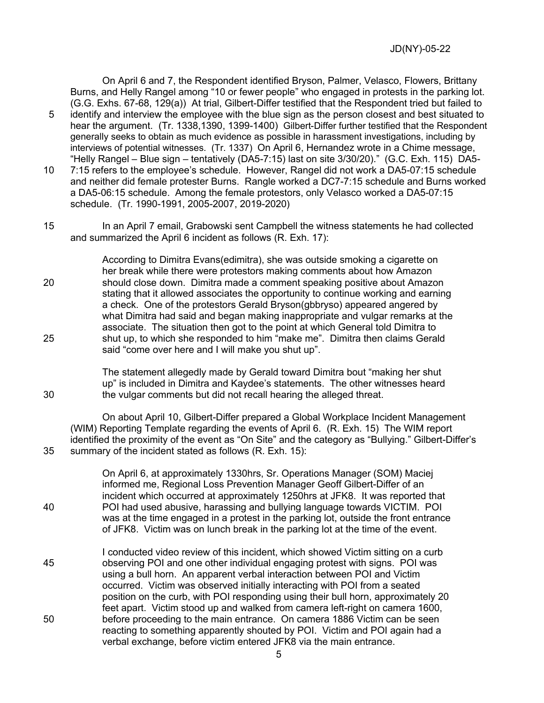JD(NY)-05-22

On April 6 and 7, the Respondent identified Bryson, Palmer, Velasco, Flowers, Brittany Burns, and Helly Rangel among "10 or fewer people" who engaged in protests in the parking lot. (G.G. Exhs. 67-68, 129(a)) At trial, Gilbert-Differ testified that the Respondent tried but failed to 5 identify and interview the employee with the blue sign as the person closest and best situated to hear the argument. (Tr. 1338,1390, 1399-1400) Gilbert-Differ further testified that the Respondent generally seeks to obtain as much evidence as possible in harassment investigations, including by interviews of potential witnesses. (Tr. 1337) On April 6, Hernandez wrote in a Chime message, "Helly Rangel – Blue sign – tentatively (DA5-7:15) last on site 3/30/20)." (G.C. Exh. 115) DA5- 10 7:15 refers to the employee's schedule. However, Rangel did not work a DA5-07:15 schedule and neither did female protester Burns. Rangle worked a DC7-7:15 schedule and Burns worked

a DA5-06:15 schedule. Among the female protestors, only Velasco worked a DA5-07:15 schedule. (Tr. 1990-1991, 2005-2007, 2019-2020)

15 In an April 7 email, Grabowski sent Campbell the witness statements he had collected and summarized the April 6 incident as follows (R. Exh. 17):

According to Dimitra Evans(edimitra), she was outside smoking a cigarette on her break while there were protestors making comments about how Amazon 20 should close down. Dimitra made a comment speaking positive about Amazon stating that it allowed associates the opportunity to continue working and earning a check. One of the protestors Gerald Bryson(gbbryso) appeared angered by what Dimitra had said and began making inappropriate and vulgar remarks at the associate. The situation then got to the point at which General told Dimitra to 25 shut up, to which she responded to him "make me". Dimitra then claims Gerald said "come over here and I will make you shut up".

The statement allegedly made by Gerald toward Dimitra bout "making her shut up" is included in Dimitra and Kaydee's statements. The other witnesses heard 30 the vulgar comments but did not recall hearing the alleged threat.

On about April 10, Gilbert-Differ prepared a Global Workplace Incident Management (WIM) Reporting Template regarding the events of April 6. (R. Exh. 15) The WIM report identified the proximity of the event as "On Site" and the category as "Bullying." Gilbert-Differ's 35 summary of the incident stated as follows (R. Exh. 15):

On April 6, at approximately 1330hrs, Sr. Operations Manager (SOM) Maciej informed me, Regional Loss Prevention Manager Geoff Gilbert-Differ of an incident which occurred at approximately 1250hrs at JFK8. It was reported that 40 POI had used abusive, harassing and bullying language towards VICTIM. POI was at the time engaged in a protest in the parking lot, outside the front entrance of JFK8. Victim was on lunch break in the parking lot at the time of the event.

I conducted video review of this incident, which showed Victim sitting on a curb 45 observing POI and one other individual engaging protest with signs. POI was using a bull horn. An apparent verbal interaction between POI and Victim occurred. Victim was observed initially interacting with POI from a seated position on the curb, with POI responding using their bull horn, approximately 20 feet apart. Victim stood up and walked from camera left-right on camera 1600, 50 before proceeding to the main entrance. On camera 1886 Victim can be seen reacting to something apparently shouted by POI. Victim and POI again had a verbal exchange, before victim entered JFK8 via the main entrance.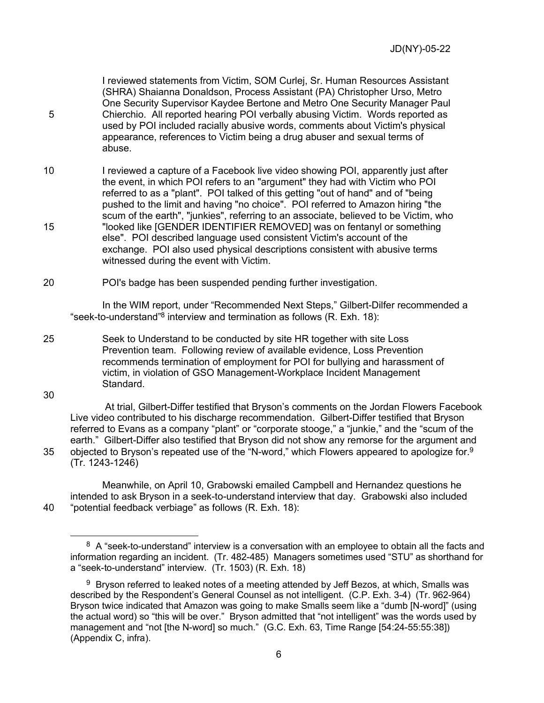I reviewed statements from Victim, SOM Curlej, Sr. Human Resources Assistant (SHRA) Shaianna Donaldson, Process Assistant (PA) Christopher Urso, Metro One Security Supervisor Kaydee Bertone and Metro One Security Manager Paul 5 Chierchio. All reported hearing POI verbally abusing Victim. Words reported as used by POI included racially abusive words, comments about Victim's physical appearance, references to Victim being a drug abuser and sexual terms of abuse.

10 I reviewed a capture of a Facebook live video showing POI, apparently just after the event, in which POI refers to an "argument" they had with Victim who POI referred to as a "plant". POI talked of this getting "out of hand" and of "being pushed to the limit and having "no choice". POI referred to Amazon hiring "the scum of the earth", "junkies", referring to an associate, believed to be Victim, who 15 "looked like [GENDER IDENTIFIER REMOVED] was on fentanyl or something else". POI described language used consistent Victim's account of the exchange. POI also used physical descriptions consistent with abusive terms witnessed during the event with Victim.

20 POI's badge has been suspended pending further investigation.

In the WIM report, under "Recommended Next Steps," Gilbert-Dilfer recommended a "seek-to-understand"<sup>8</sup> interview and termination as follows (R. Exh. 18):

25 Seek to Understand to be conducted by site HR together with site Loss Prevention team. Following review of available evidence, Loss Prevention recommends termination of employment for POI for bullying and harassment of victim, in violation of GSO Management-Workplace Incident Management Standard.

30

At trial, Gilbert-Differ testified that Bryson's comments on the Jordan Flowers Facebook Live video contributed to his discharge recommendation. Gilbert-Differ testified that Bryson referred to Evans as a company "plant" or "corporate stooge," a "junkie," and the "scum of the earth." Gilbert-Differ also testified that Bryson did not show any remorse for the argument and 35 objected to Bryson's repeated use of the "N-word," which Flowers appeared to apologize for.  $9^{\circ}$ (Tr. 1243-1246)

Meanwhile, on April 10, Grabowski emailed Campbell and Hernandez questions he intended to ask Bryson in a seek-to-understand interview that day. Grabowski also included 40 "potential feedback verbiage" as follows (R. Exh. 18):

 $8\,$  A "seek-to-understand" interview is a conversation with an employee to obtain all the facts and information regarding an incident. (Tr. 482-485) Managers sometimes used "STU" as shorthand for a "seek-to-understand" interview. (Tr. 1503) (R. Exh. 18)

 $9$  Bryson referred to leaked notes of a meeting attended by Jeff Bezos, at which, Smalls was described by the Respondent's General Counsel as not intelligent. (C.P. Exh. 3-4) (Tr. 962-964) Bryson twice indicated that Amazon was going to make Smalls seem like a "dumb [N-word]" (using the actual word) so "this will be over." Bryson admitted that "not intelligent" was the words used by management and "not [the N-word] so much." (G.C. Exh. 63, Time Range [54:24-55:55:38]) (Appendix C, infra).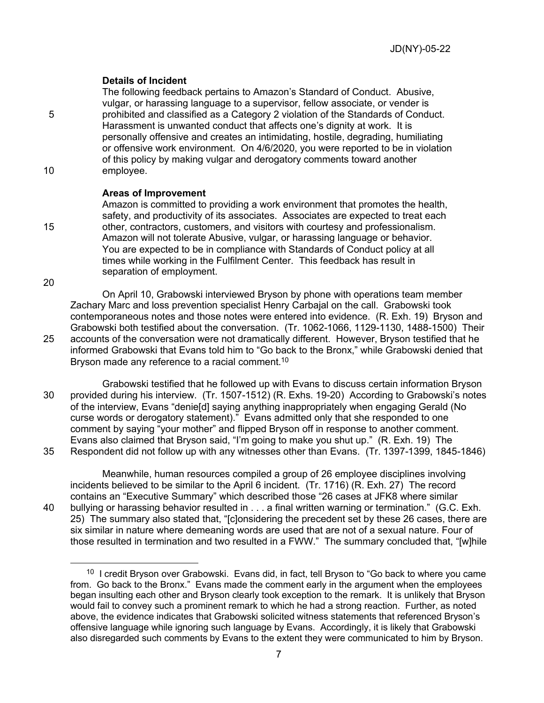# **Details of Incident**

The following feedback pertains to Amazon's Standard of Conduct. Abusive, vulgar, or harassing language to a supervisor, fellow associate, or vender is 5 prohibited and classified as a Category 2 violation of the Standards of Conduct. Harassment is unwanted conduct that affects one's dignity at work. It is personally offensive and creates an intimidating, hostile, degrading, humiliating or offensive work environment. On 4/6/2020, you were reported to be in violation of this policy by making vulgar and derogatory comments toward another 10 employee.

#### **Areas of Improvement**

Amazon is committed to providing a work environment that promotes the health, safety, and productivity of its associates. Associates are expected to treat each 15 other, contractors, customers, and visitors with courtesy and professionalism. Amazon will not tolerate Abusive, vulgar, or harassing language or behavior. You are expected to be in compliance with Standards of Conduct policy at all times while working in the Fulfilment Center. This feedback has result in separation of employment.

20

On April 10, Grabowski interviewed Bryson by phone with operations team member Zachary Marc and loss prevention specialist Henry Carbajal on the call. Grabowski took contemporaneous notes and those notes were entered into evidence. (R. Exh. 19) Bryson and Grabowski both testified about the conversation. (Tr. 1062-1066, 1129-1130, 1488-1500) Their 25 accounts of the conversation were not dramatically different. However, Bryson testified that he informed Grabowski that Evans told him to "Go back to the Bronx," while Grabowski denied that Bryson made any reference to a racial comment.<sup>10</sup>

Grabowski testified that he followed up with Evans to discuss certain information Bryson 30 provided during his interview. (Tr. 1507-1512) (R. Exhs. 19-20) According to Grabowski's notes of the interview, Evans "denie[d] saying anything inappropriately when engaging Gerald (No curse words or derogatory statement)." Evans admitted only that she responded to one comment by saying "your mother" and flipped Bryson off in response to another comment. Evans also claimed that Bryson said, "I'm going to make you shut up." (R. Exh. 19) The 35 Respondent did not follow up with any witnesses other than Evans. (Tr. 1397-1399, 1845-1846)

Meanwhile, human resources compiled a group of 26 employee disciplines involving incidents believed to be similar to the April 6 incident. (Tr. 1716) (R. Exh. 27) The record contains an "Executive Summary" which described those "26 cases at JFK8 where similar 40 bullying or harassing behavior resulted in . . . a final written warning or termination." (G.C. Exh. 25) The summary also stated that, "[c]onsidering the precedent set by these 26 cases, there are six similar in nature where demeaning words are used that are not of a sexual nature. Four of those resulted in termination and two resulted in a FWW." The summary concluded that, "[w]hile

<sup>&</sup>lt;sup>10</sup> I credit Bryson over Grabowski. Evans did, in fact, tell Bryson to "Go back to where you came from. Go back to the Bronx." Evans made the comment early in the argument when the employees began insulting each other and Bryson clearly took exception to the remark. It is unlikely that Bryson would fail to convey such a prominent remark to which he had a strong reaction. Further, as noted above, the evidence indicates that Grabowski solicited witness statements that referenced Bryson's offensive language while ignoring such language by Evans. Accordingly, it is likely that Grabowski also disregarded such comments by Evans to the extent they were communicated to him by Bryson.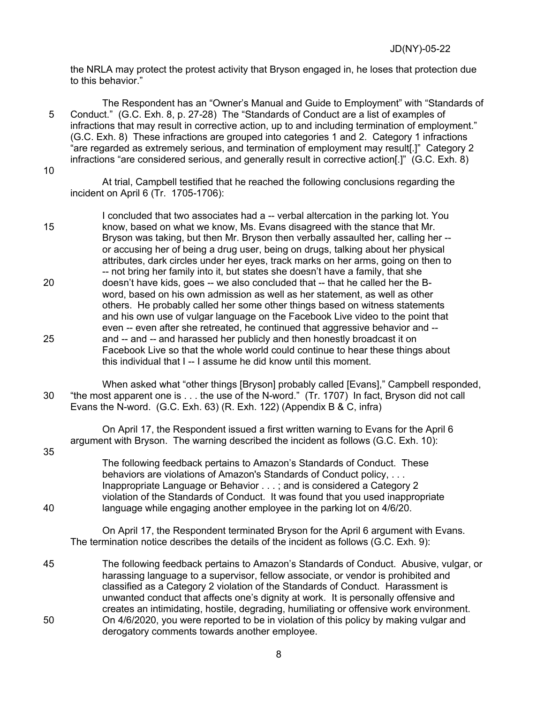the NRLA may protect the protest activity that Bryson engaged in, he loses that protection due to this behavior."

The Respondent has an "Owner's Manual and Guide to Employment" with "Standards of 5 Conduct." (G.C. Exh. 8, p. 27-28) The "Standards of Conduct are a list of examples of infractions that may result in corrective action, up to and including termination of employment." (G.C. Exh. 8) These infractions are grouped into categories 1 and 2. Category 1 infractions "are regarded as extremely serious, and termination of employment may result[.]" Category 2 infractions "are considered serious, and generally result in corrective action[.]" (G.C. Exh. 8)

10

At trial, Campbell testified that he reached the following conclusions regarding the incident on April 6 (Tr. 1705-1706):

I concluded that two associates had a -- verbal altercation in the parking lot. You 15 know, based on what we know, Ms. Evans disagreed with the stance that Mr. Bryson was taking, but then Mr. Bryson then verbally assaulted her, calling her - or accusing her of being a drug user, being on drugs, talking about her physical attributes, dark circles under her eyes, track marks on her arms, going on then to -- not bring her family into it, but states she doesn't have a family, that she 20 doesn't have kids, goes -- we also concluded that -- that he called her the Bword, based on his own admission as well as her statement, as well as other others. He probably called her some other things based on witness statements and his own use of vulgar language on the Facebook Live video to the point that even -- even after she retreated, he continued that aggressive behavior and -- 25 and -- and -- and harassed her publicly and then honestly broadcast it on Facebook Live so that the whole world could continue to hear these things about this individual that I -- I assume he did know until this moment.

When asked what "other things [Bryson] probably called [Evans]," Campbell responded, 30 "the most apparent one is . . . the use of the N-word." (Tr. 1707) In fact, Bryson did not call Evans the N-word. (G.C. Exh. 63) (R. Exh. 122) (Appendix B & C, infra)

On April 17, the Respondent issued a first written warning to Evans for the April 6 argument with Bryson. The warning described the incident as follows (G.C. Exh. 10): 35

The following feedback pertains to Amazon's Standards of Conduct. These behaviors are violations of Amazon's Standards of Conduct policy, . . . Inappropriate Language or Behavior . . . ; and is considered a Category 2 violation of the Standards of Conduct. It was found that you used inappropriate 40 language while engaging another employee in the parking lot on 4/6/20.

On April 17, the Respondent terminated Bryson for the April 6 argument with Evans. The termination notice describes the details of the incident as follows (G.C. Exh. 9):

45 The following feedback pertains to Amazon's Standards of Conduct. Abusive, vulgar, or harassing language to a supervisor, fellow associate, or vendor is prohibited and classified as a Category 2 violation of the Standards of Conduct. Harassment is unwanted conduct that affects one's dignity at work. It is personally offensive and creates an intimidating, hostile, degrading, humiliating or offensive work environment. 50 On 4/6/2020, you were reported to be in violation of this policy by making vulgar and derogatory comments towards another employee.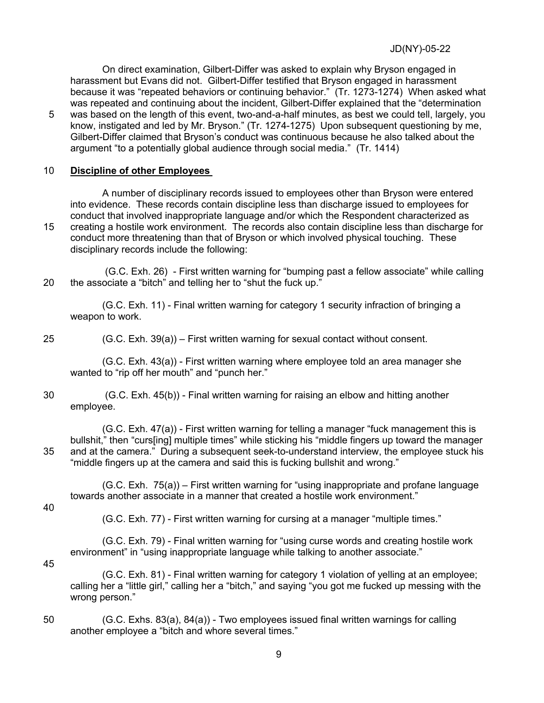JD(NY)-05-22

On direct examination, Gilbert-Differ was asked to explain why Bryson engaged in harassment but Evans did not. Gilbert-Differ testified that Bryson engaged in harassment because it was "repeated behaviors or continuing behavior." (Tr. 1273-1274) When asked what was repeated and continuing about the incident, Gilbert-Differ explained that the "determination 5 was based on the length of this event, two-and-a-half minutes, as best we could tell, largely, you

know, instigated and led by Mr. Bryson." (Tr. 1274-1275) Upon subsequent questioning by me, Gilbert-Differ claimed that Bryson's conduct was continuous because he also talked about the argument "to a potentially global audience through social media." (Tr. 1414)

### 10 **Discipline of other Employees**

A number of disciplinary records issued to employees other than Bryson were entered into evidence. These records contain discipline less than discharge issued to employees for conduct that involved inappropriate language and/or which the Respondent characterized as 15 creating a hostile work environment. The records also contain discipline less than discharge for conduct more threatening than that of Bryson or which involved physical touching. These

disciplinary records include the following:

(G.C. Exh. 26) - First written warning for "bumping past a fellow associate" while calling 20 the associate a "bitch" and telling her to "shut the fuck up."

(G.C. Exh. 11) - Final written warning for category 1 security infraction of bringing a weapon to work.

25 (G.C. Exh. 39(a)) – First written warning for sexual contact without consent.

(G.C. Exh. 43(a)) - First written warning where employee told an area manager she wanted to "rip off her mouth" and "punch her."

30 (G.C. Exh. 45(b)) - Final written warning for raising an elbow and hitting another employee.

(G.C. Exh. 47(a)) - First written warning for telling a manager "fuck management this is bullshit," then "curs[ing] multiple times" while sticking his "middle fingers up toward the manager 35 and at the camera." During a subsequent seek-to-understand interview, the employee stuck his "middle fingers up at the camera and said this is fucking bullshit and wrong."

(G.C. Exh. 75(a)) – First written warning for "using inappropriate and profane language towards another associate in a manner that created a hostile work environment."

40

(G.C. Exh. 77) - First written warning for cursing at a manager "multiple times."

(G.C. Exh. 79) - Final written warning for "using curse words and creating hostile work environment" in "using inappropriate language while talking to another associate."

45

(G.C. Exh. 81) - Final written warning for category 1 violation of yelling at an employee; calling her a "little girl," calling her a "bitch," and saying "you got me fucked up messing with the wrong person."

50 (G.C. Exhs. 83(a), 84(a)) - Two employees issued final written warnings for calling another employee a "bitch and whore several times."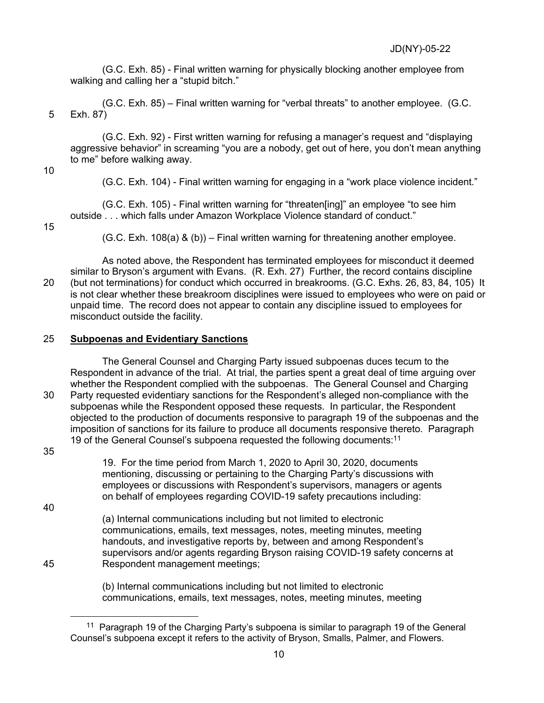(G.C. Exh. 85) - Final written warning for physically blocking another employee from walking and calling her a "stupid bitch."

(G.C. Exh. 85) – Final written warning for "verbal threats" to another employee. (G.C. 5 Exh. 87)

(G.C. Exh. 92) - First written warning for refusing a manager's request and "displaying aggressive behavior" in screaming "you are a nobody, get out of here, you don't mean anything to me" before walking away.

10

(G.C. Exh. 104) - Final written warning for engaging in a "work place violence incident."

(G.C. Exh. 105) - Final written warning for "threaten[ing]" an employee "to see him outside . . . which falls under Amazon Workplace Violence standard of conduct."

15

 $(G.C. Ext. 108(a) & (b))$  – Final written warning for threatening another employee.

As noted above, the Respondent has terminated employees for misconduct it deemed similar to Bryson's argument with Evans. (R. Exh. 27) Further, the record contains discipline 20 (but not terminations) for conduct which occurred in breakrooms. (G.C. Exhs. 26, 83, 84, 105) It is not clear whether these breakroom disciplines were issued to employees who were on paid or unpaid time. The record does not appear to contain any discipline issued to employees for misconduct outside the facility.

## 25 **Subpoenas and Evidentiary Sanctions**

The General Counsel and Charging Party issued subpoenas duces tecum to the Respondent in advance of the trial. At trial, the parties spent a great deal of time arguing over whether the Respondent complied with the subpoenas. The General Counsel and Charging 30 Party requested evidentiary sanctions for the Respondent's alleged non-compliance with the subpoenas while the Respondent opposed these requests. In particular, the Respondent objected to the production of documents responsive to paragraph 19 of the subpoenas and the imposition of sanctions for its failure to produce all documents responsive thereto. Paragraph 19 of the General Counsel's subpoena requested the following documents:<sup>11</sup>

35

19. For the time period from March 1, 2020 to April 30, 2020, documents mentioning, discussing or pertaining to the Charging Party's discussions with employees or discussions with Respondent's supervisors, managers or agents on behalf of employees regarding COVID-19 safety precautions including:

40

(a) Internal communications including but not limited to electronic communications, emails, text messages, notes, meeting minutes, meeting handouts, and investigative reports by, between and among Respondent's supervisors and/or agents regarding Bryson raising COVID-19 safety concerns at 45 Respondent management meetings;

> (b) Internal communications including but not limited to electronic communications, emails, text messages, notes, meeting minutes, meeting

<sup>&</sup>lt;sup>11</sup> Paragraph 19 of the Charging Party's subpoena is similar to paragraph 19 of the General Counsel's subpoena except it refers to the activity of Bryson, Smalls, Palmer, and Flowers.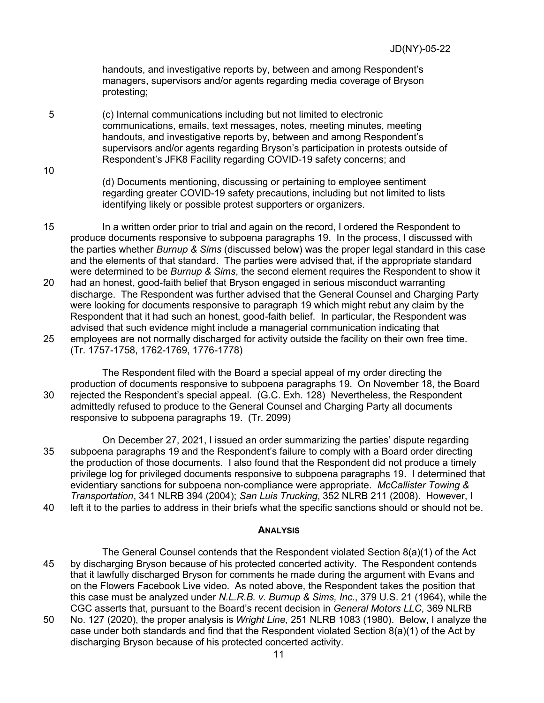handouts, and investigative reports by, between and among Respondent's managers, supervisors and/or agents regarding media coverage of Bryson protesting;

5 (c) Internal communications including but not limited to electronic communications, emails, text messages, notes, meeting minutes, meeting handouts, and investigative reports by, between and among Respondent's supervisors and/or agents regarding Bryson's participation in protests outside of Respondent's JFK8 Facility regarding COVID-19 safety concerns; and

10

(d) Documents mentioning, discussing or pertaining to employee sentiment regarding greater COVID-19 safety precautions, including but not limited to lists identifying likely or possible protest supporters or organizers.

15 In a written order prior to trial and again on the record, I ordered the Respondent to produce documents responsive to subpoena paragraphs 19. In the process, I discussed with the parties whether *Burnup & Sims* (discussed below) was the proper legal standard in this case and the elements of that standard. The parties were advised that, if the appropriate standard were determined to be *Burnup & Sims*, the second element requires the Respondent to show it 20 had an honest, good-faith belief that Bryson engaged in serious misconduct warranting discharge. The Respondent was further advised that the General Counsel and Charging Party were looking for documents responsive to paragraph 19 which might rebut any claim by the Respondent that it had such an honest, good-faith belief. In particular, the Respondent was advised that such evidence might include a managerial communication indicating that 25 employees are not normally discharged for activity outside the facility on their own free time. (Tr. 1757-1758, 1762-1769, 1776-1778)

The Respondent filed with the Board a special appeal of my order directing the production of documents responsive to subpoena paragraphs 19. On November 18, the Board 30 rejected the Respondent's special appeal. (G.C. Exh. 128) Nevertheless, the Respondent admittedly refused to produce to the General Counsel and Charging Party all documents responsive to subpoena paragraphs 19. (Tr. 2099)

On December 27, 2021, I issued an order summarizing the parties' dispute regarding 35 subpoena paragraphs 19 and the Respondent's failure to comply with a Board order directing the production of those documents. I also found that the Respondent did not produce a timely privilege log for privileged documents responsive to subpoena paragraphs 19. I determined that evidentiary sanctions for subpoena non-compliance were appropriate. *McCallister Towing & Transportation*, 341 NLRB 394 (2004); *San Luis Trucking*, 352 NLRB 211 (2008). However, I

40 left it to the parties to address in their briefs what the specific sanctions should or should not be.

#### **ANALYSIS**

The General Counsel contends that the Respondent violated Section 8(a)(1) of the Act 45 by discharging Bryson because of his protected concerted activity. The Respondent contends that it lawfully discharged Bryson for comments he made during the argument with Evans and on the Flowers Facebook Live video. As noted above, the Respondent takes the position that this case must be analyzed under *N.L.R.B. v. Burnup & Sims, Inc.*, 379 U.S. 21 (1964), while the CGC asserts that, pursuant to the Board's recent decision in *General Motors LLC*, 369 NLRB

50 No. 127 (2020), the proper analysis is *Wright Line,* 251 NLRB 1083 (1980). Below, I analyze the case under both standards and find that the Respondent violated Section 8(a)(1) of the Act by discharging Bryson because of his protected concerted activity.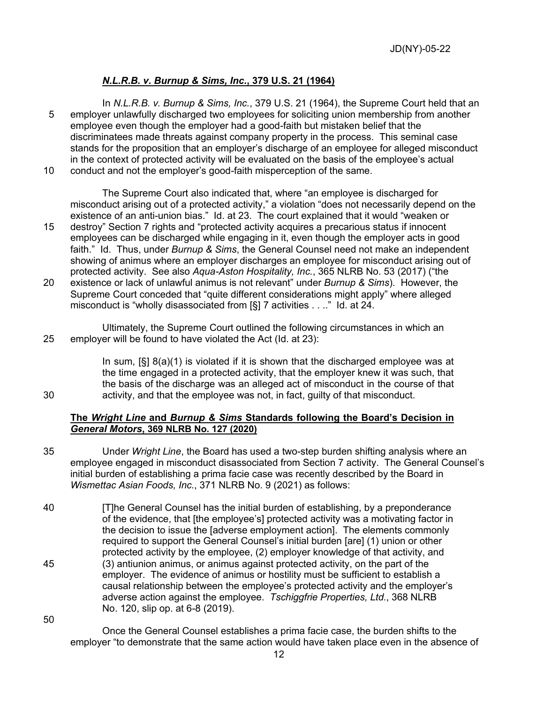# *N.L.R.B. v. Burnup & Sims, Inc.***, 379 U.S. 21 (1964)**

In *N.L.R.B. v. Burnup & Sims, Inc.*, 379 U.S. 21 (1964), the Supreme Court held that an 5 employer unlawfully discharged two employees for soliciting union membership from another employee even though the employer had a good-faith but mistaken belief that the discriminatees made threats against company property in the process. This seminal case stands for the proposition that an employer's discharge of an employee for alleged misconduct in the context of protected activity will be evaluated on the basis of the employee's actual 10 conduct and not the employer's good-faith misperception of the same.

The Supreme Court also indicated that, where "an employee is discharged for misconduct arising out of a protected activity," a violation "does not necessarily depend on the existence of an anti-union bias." Id. at 23. The court explained that it would "weaken or

- 15 destroy" Section 7 rights and "protected activity acquires a precarious status if innocent employees can be discharged while engaging in it, even though the employer acts in good faith." Id. Thus, under *Burnup & Sims*, the General Counsel need not make an independent showing of animus where an employer discharges an employee for misconduct arising out of protected activity. See also *Aqua-Aston Hospitality, Inc.*, 365 NLRB No. 53 (2017) ("the
- 20 existence or lack of unlawful animus is not relevant" under *Burnup & Sims*). However, the Supreme Court conceded that "quite different considerations might apply" where alleged misconduct is "wholly disassociated from [§] 7 activities . . .." Id. at 24.
- Ultimately, the Supreme Court outlined the following circumstances in which an 25 employer will be found to have violated the Act (Id. at 23):

In sum, [§] 8(a)(1) is violated if it is shown that the discharged employee was at the time engaged in a protected activity, that the employer knew it was such, that the basis of the discharge was an alleged act of misconduct in the course of that 30 activity, and that the employee was not, in fact, guilty of that misconduct.

#### **The** *Wright Line* **and** *Burnup & Sims* **Standards following the Board's Decision in** *General Motors***, 369 NLRB No. 127 (2020)**

- 35 Under *Wright Line*, the Board has used a two-step burden shifting analysis where an employee engaged in misconduct disassociated from Section 7 activity. The General Counsel's initial burden of establishing a prima facie case was recently described by the Board in *Wismettac Asian Foods, Inc.*, 371 NLRB No. 9 (2021) as follows:
- 40 [T]he General Counsel has the initial burden of establishing, by a preponderance of the evidence, that [the employee's] protected activity was a motivating factor in the decision to issue the [adverse employment action]. The elements commonly required to support the General Counsel's initial burden [are] (1) union or other protected activity by the employee, (2) employer knowledge of that activity, and 45 (3) antiunion animus, or animus against protected activity, on the part of the employer. The evidence of animus or hostility must be sufficient to establish a causal relationship between the employee's protected activity and the employer's adverse action against the employee. *Tschiggfrie Properties, Ltd.*, 368 NLRB No. 120, slip op. at 6-8 (2019).

50

Once the General Counsel establishes a prima facie case, the burden shifts to the employer "to demonstrate that the same action would have taken place even in the absence of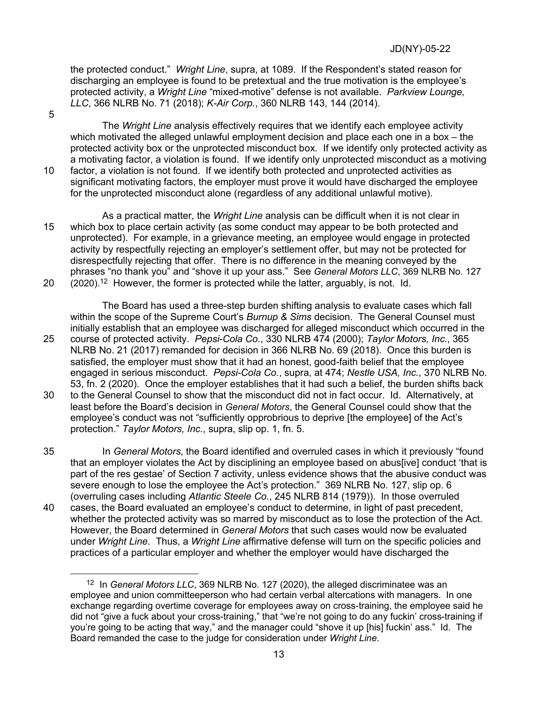the protected conduct." *Wright Line*, supra, at 1089. If the Respondent's stated reason for discharging an employee is found to be pretextual and the true motivation is the employee's protected activity, a *Wright Line* "mixed-motive" defense is not available. *Parkview Lounge, LLC*, 366 NLRB No. 71 (2018); *K-Air Corp.*, 360 NLRB 143, 144 (2014).

5

The *Wright Line* analysis effectively requires that we identify each employee activity which motivated the alleged unlawful employment decision and place each one in a box – the protected activity box or the unprotected misconduct box. If we identify only protected activity as a motivating factor, a violation is found. If we identify only unprotected misconduct as a motiving 10 factor, a violation is not found. If we identify both protected and unprotected activities as significant motivating factors, the employer must prove it would have discharged the employee for the unprotected misconduct alone (regardless of any additional unlawful motive).

As a practical matter, the *Wright Line* analysis can be difficult when it is not clear in 15 which box to place certain activity (as some conduct may appear to be both protected and unprotected). For example, in a grievance meeting, an employee would engage in protected activity by respectfully rejecting an employer's settlement offer, but may not be protected for disrespectfully rejecting that offer. There is no difference in the meaning conveyed by the phrases "no thank you" and "shove it up your ass." See *General Motors LLC*, 369 NLRB No. 127 20  $(2020).12$  However, the former is protected while the latter, arguably, is not. Id.

The Board has used a three-step burden shifting analysis to evaluate cases which fall within the scope of the Supreme Court's *Burnup & Sims* decision. The General Counsel must initially establish that an employee was discharged for alleged misconduct which occurred in the 25 course of protected activity. *Pepsi-Cola Co.*, 330 NLRB 474 (2000); *Taylor Motors, Inc.*, 365 NLRB No. 21 (2017) remanded for decision in 366 NLRB No. 69 (2018). Once this burden is satisfied, the employer must show that it had an honest, good-faith belief that the employee engaged in serious misconduct. *Pepsi-Cola Co.*, supra, at 474; *Nestle USA, Inc.*, 370 NLRB No. 53, fn. 2 (2020). Once the employer establishes that it had such a belief, the burden shifts back

30 to the General Counsel to show that the misconduct did not in fact occur. Id. Alternatively, at least before the Board's decision in *General Motors*, the General Counsel could show that the employee's conduct was not "sufficiently opprobrious to deprive [the employee] of the Act's protection." *Taylor Motors, Inc.*, supra, slip op. 1, fn. 5.

35 In *General Motors*, the Board identified and overruled cases in which it previously "found that an employer violates the Act by disciplining an employee based on abus[ive] conduct 'that is part of the res gestae' of Section 7 activity, unless evidence shows that the abusive conduct was severe enough to lose the employee the Act's protection." 369 NLRB No. 127, slip op. 6 (overruling cases including *Atlantic Steele Co.*, 245 NLRB 814 (1979)). In those overruled

40 cases, the Board evaluated an employee's conduct to determine, in light of past precedent, whether the protected activity was so marred by misconduct as to lose the protection of the Act. However, the Board determined in *General Motors* that such cases would now be evaluated under *Wright Line*. Thus, a *Wright Line* affirmative defense will turn on the specific policies and practices of a particular employer and whether the employer would have discharged the

<sup>12</sup> In *General Motors LLC*, 369 NLRB No. 127 (2020), the alleged discriminatee was an employee and union committeeperson who had certain verbal altercations with managers. In one exchange regarding overtime coverage for employees away on cross-training, the employee said he did not "give a fuck about your cross-training," that "we're not going to do any fuckin' cross-training if you're going to be acting that way," and the manager could "shove it up [his] fuckin' ass." Id. The Board remanded the case to the judge for consideration under *Wright Line*.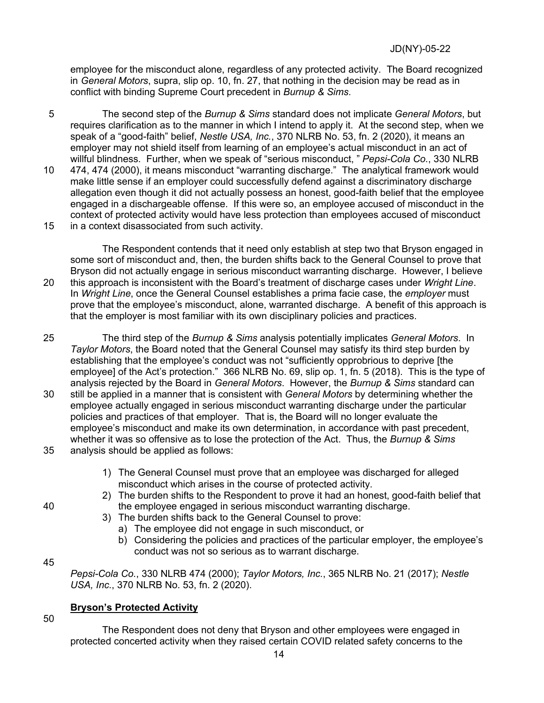employee for the misconduct alone, regardless of any protected activity. The Board recognized in *General Motors*, supra, slip op. 10, fn. 27, that nothing in the decision may be read as in conflict with binding Supreme Court precedent in *Burnup & Sims*.

5 The second step of the *Burnup & Sims* standard does not implicate *General Motors*, but requires clarification as to the manner in which I intend to apply it. At the second step, when we speak of a "good-faith" belief, *Nestle USA, Inc.*, 370 NLRB No. 53, fn. 2 (2020), it means an employer may not shield itself from learning of an employee's actual misconduct in an act of willful blindness. Further, when we speak of "serious misconduct, " *Pepsi-Cola Co.*, 330 NLRB 10 474, 474 (2000), it means misconduct "warranting discharge." The analytical framework would make little sense if an employer could successfully defend against a discriminatory discharge allegation even though it did not actually possess an honest, good-faith belief that the employee engaged in a dischargeable offense. If this were so, an employee accused of misconduct in the context of protected activity would have less protection than employees accused of misconduct 15 in a context disassociated from such activity.

The Respondent contends that it need only establish at step two that Bryson engaged in some sort of misconduct and, then, the burden shifts back to the General Counsel to prove that Bryson did not actually engage in serious misconduct warranting discharge. However, I believe 20 this approach is inconsistent with the Board's treatment of discharge cases under *Wright Line*. In *Wright Line*, once the General Counsel establishes a prima facie case, the *employer* must prove that the employee's misconduct, alone, warranted discharge. A benefit of this approach is that the employer is most familiar with its own disciplinary policies and practices.

25 The third step of the *Burnup & Sims* analysis potentially implicates *General Motors*. In *Taylor Motors*, the Board noted that the General Counsel may satisfy its third step burden by establishing that the employee's conduct was not "sufficiently opprobrious to deprive [the employee] of the Act's protection." 366 NLRB No. 69, slip op. 1, fn. 5 (2018). This is the type of analysis rejected by the Board in *General Motors*. However, the *Burnup & Sims* standard can 30 still be applied in a manner that is consistent with *General Motors* by determining whether the employee actually engaged in serious misconduct warranting discharge under the particular policies and practices of that employer. That is, the Board will no longer evaluate the employee's misconduct and make its own determination, in accordance with past precedent, whether it was so offensive as to lose the protection of the Act. Thus, the *Burnup & Sims* 

- 35 analysis should be applied as follows:
	- 1) The General Counsel must prove that an employee was discharged for alleged misconduct which arises in the course of protected activity.
- 2) The burden shifts to the Respondent to prove it had an honest, good-faith belief that 40 the employee engaged in serious misconduct warranting discharge.
	- 3) The burden shifts back to the General Counsel to prove:
		- a) The employee did not engage in such misconduct, or
		- b) Considering the policies and practices of the particular employer, the employee's conduct was not so serious as to warrant discharge.

### 45

*Pepsi-Cola Co.*, 330 NLRB 474 (2000); *Taylor Motors, Inc.*, 365 NLRB No. 21 (2017); *Nestle USA, Inc.*, 370 NLRB No. 53, fn. 2 (2020).

### **Bryson's Protected Activity**

50

The Respondent does not deny that Bryson and other employees were engaged in protected concerted activity when they raised certain COVID related safety concerns to the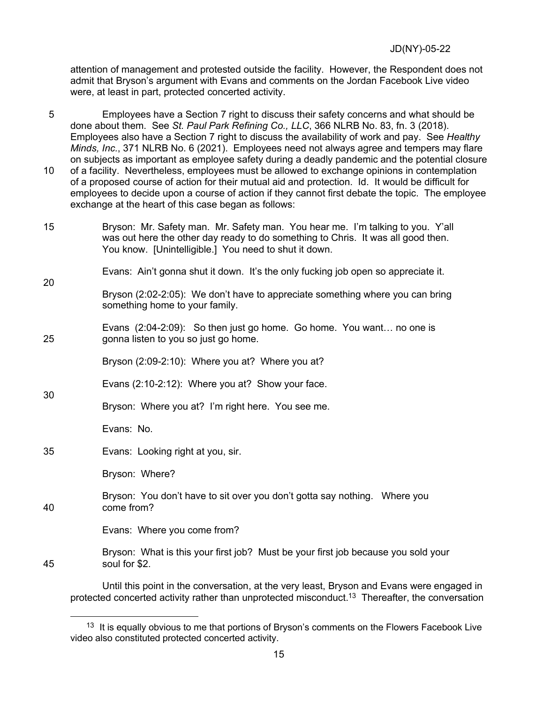attention of management and protested outside the facility. However, the Respondent does not admit that Bryson's argument with Evans and comments on the Jordan Facebook Live video were, at least in part, protected concerted activity.

5 Employees have a Section 7 right to discuss their safety concerns and what should be done about them. See *St. Paul Park Refining Co., LLC*, 366 NLRB No. 83, fn. 3 (2018). Employees also have a Section 7 right to discuss the availability of work and pay. See *Healthy Minds, Inc.*, 371 NLRB No. 6 (2021). Employees need not always agree and tempers may flare on subjects as important as employee safety during a deadly pandemic and the potential closure 10 of a facility. Nevertheless, employees must be allowed to exchange opinions in contemplation of a proposed course of action for their mutual aid and protection. Id. It would be difficult for employees to decide upon a course of action if they cannot first debate the topic. The employee exchange at the heart of this case began as follows:

15 Bryson: Mr. Safety man. Mr. Safety man. You hear me. I'm talking to you. Y'all was out here the other day ready to do something to Chris. It was all good then. You know. [Unintelligible.] You need to shut it down.

Evans: Ain't gonna shut it down. It's the only fucking job open so appreciate it.

# Bryson (2:02-2:05): We don't have to appreciate something where you can bring something home to your family.

Evans (2:04-2:09): So then just go home. Go home. You want… no one is 25 gonna listen to you so just go home.

Bryson (2:09-2:10): Where you at? Where you at?

- Evans (2:10-2:12): Where you at? Show your face. 30
- Bryson: Where you at? I'm right here. You see me.

Evans: No.

20

35 Evans: Looking right at you, sir.

Bryson: Where?

Bryson: You don't have to sit over you don't gotta say nothing. Where you 40 come from?

Evans: Where you come from?

Bryson: What is this your first job? Must be your first job because you sold your 45 soul for \$2.

Until this point in the conversation, at the very least, Bryson and Evans were engaged in protected concerted activity rather than unprotected misconduct. <sup>13</sup> Thereafter, the conversation

<sup>&</sup>lt;sup>13</sup> It is equally obvious to me that portions of Bryson's comments on the Flowers Facebook Live video also constituted protected concerted activity.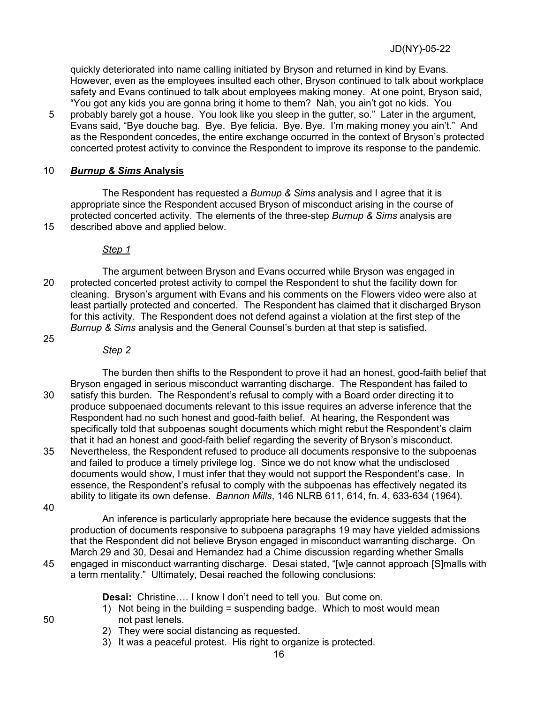quickly deteriorated into name calling initiated by Bryson and returned in kind by Evans. However, even as the employees insulted each other, Bryson continued to talk about workplace safety and Evans continued to talk about employees making money. At one point, Bryson said, "You got any kids you are gonna bring it home to them? Nah, you ain't got no kids. You

5 probably barely got a house. You look like you sleep in the gutter, so." Later in the argument, Evans said, "Bye douche bag. Bye. Bye felicia. Bye. Bye. I'm making money you ain't." And as the Respondent concedes, the entire exchange occurred in the context of Bryson's protected concerted protest activity to convince the Respondent to improve its response to the pandemic.

# 10 *Burnup & Sims* **Analysis**

The Respondent has requested a *Burnup & Sims* analysis and I agree that it is appropriate since the Respondent accused Bryson of misconduct arising in the course of protected concerted activity. The elements of the three-step *Burnup & Sims* analysis are 15 described above and applied below.

# *Step 1*

The argument between Bryson and Evans occurred while Bryson was engaged in 20 protected concerted protest activity to compel the Respondent to shut the facility down for cleaning. Bryson's argument with Evans and his comments on the Flowers video were also at least partially protected and concerted. The Respondent has claimed that it discharged Bryson for this activity. The Respondent does not defend against a violation at the first step of the *Burnup & Sims* analysis and the General Counsel's burden at that step is satisfied.

# 25

# *Step 2*

The burden then shifts to the Respondent to prove it had an honest, good-faith belief that Bryson engaged in serious misconduct warranting discharge. The Respondent has failed to 30 satisfy this burden. The Respondent's refusal to comply with a Board order directing it to produce subpoenaed documents relevant to this issue requires an adverse inference that the Respondent had no such honest and good-faith belief. At hearing, the Respondent was specifically told that subpoenas sought documents which might rebut the Respondent's claim that it had an honest and good-faith belief regarding the severity of Bryson's misconduct.

35 Nevertheless, the Respondent refused to produce all documents responsive to the subpoenas and failed to produce a timely privilege log. Since we do not know what the undisclosed documents would show, I must infer that they would not support the Respondent's case. In essence, the Respondent's refusal to comply with the subpoenas has effectively negated its ability to litigate its own defense. *Bannon Mills*, 146 NLRB 611, 614, fn. 4, 633-634 (1964).

40

An inference is particularly appropriate here because the evidence suggests that the production of documents responsive to subpoena paragraphs 19 may have yielded admissions that the Respondent did not believe Bryson engaged in misconduct warranting discharge. On March 29 and 30, Desai and Hernandez had a Chime discussion regarding whether Smalls 45 engaged in misconduct warranting discharge. Desai stated, "[w]e cannot approach [S]malls with a term mentality." Ultimately, Desai reached the following conclusions:

**Desai:** Christine…. I know I don't need to tell you. But come on.

- 1) Not being in the building = suspending badge. Which to most would mean 50 not past lenels.
	- 2) They were social distancing as requested.
	- 3) It was a peaceful protest. His right to organize is protected.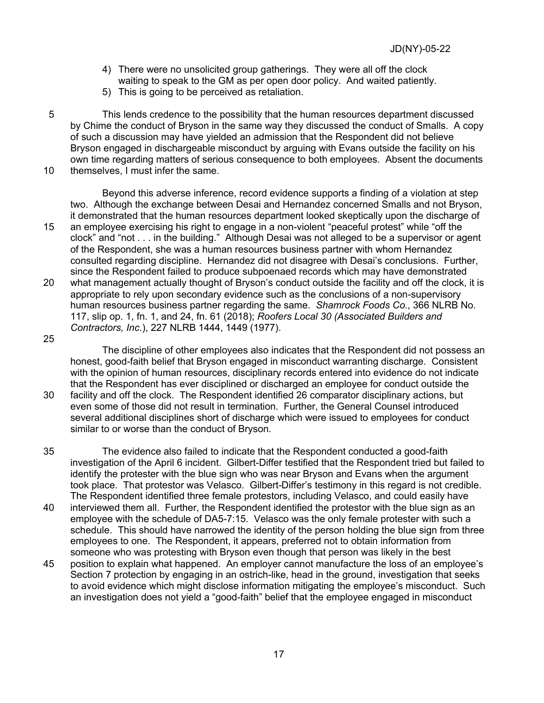- 4) There were no unsolicited group gatherings. They were all off the clock waiting to speak to the GM as per open door policy. And waited patiently.
- 5) This is going to be perceived as retaliation.

5 This lends credence to the possibility that the human resources department discussed by Chime the conduct of Bryson in the same way they discussed the conduct of Smalls. A copy of such a discussion may have yielded an admission that the Respondent did not believe Bryson engaged in dischargeable misconduct by arguing with Evans outside the facility on his own time regarding matters of serious consequence to both employees. Absent the documents 10 themselves, I must infer the same.

Beyond this adverse inference, record evidence supports a finding of a violation at step two. Although the exchange between Desai and Hernandez concerned Smalls and not Bryson, it demonstrated that the human resources department looked skeptically upon the discharge of 15 an employee exercising his right to engage in a non-violent "peaceful protest" while "off the clock" and "not . . . in the building." Although Desai was not alleged to be a supervisor or agent of the Respondent, she was a human resources business partner with whom Hernandez consulted regarding discipline. Hernandez did not disagree with Desai's conclusions. Further, since the Respondent failed to produce subpoenaed records which may have demonstrated 20 what management actually thought of Bryson's conduct outside the facility and off the clock, it is appropriate to rely upon secondary evidence such as the conclusions of a non-supervisory human resources business partner regarding the same. *Shamrock Foods Co.*, 366 NLRB No. 117, slip op. 1, fn. 1, and 24, fn. 61 (2018); *Roofers Local 30 (Associated Builders and Contractors, Inc.*), 227 NLRB 1444, 1449 (1977).

25

The discipline of other employees also indicates that the Respondent did not possess an honest, good-faith belief that Bryson engaged in misconduct warranting discharge. Consistent with the opinion of human resources, disciplinary records entered into evidence do not indicate that the Respondent has ever disciplined or discharged an employee for conduct outside the

- 30 facility and off the clock. The Respondent identified 26 comparator disciplinary actions, but even some of those did not result in termination. Further, the General Counsel introduced several additional disciplines short of discharge which were issued to employees for conduct similar to or worse than the conduct of Bryson.
- 35 The evidence also failed to indicate that the Respondent conducted a good-faith investigation of the April 6 incident. Gilbert-Differ testified that the Respondent tried but failed to identify the protester with the blue sign who was near Bryson and Evans when the argument took place. That protestor was Velasco. Gilbert-Differ's testimony in this regard is not credible. The Respondent identified three female protestors, including Velasco, and could easily have
- 40 interviewed them all. Further, the Respondent identified the protestor with the blue sign as an employee with the schedule of DA5-7:15. Velasco was the only female protester with such a schedule. This should have narrowed the identity of the person holding the blue sign from three employees to one. The Respondent, it appears, preferred not to obtain information from someone who was protesting with Bryson even though that person was likely in the best
- 45 position to explain what happened. An employer cannot manufacture the loss of an employee's Section 7 protection by engaging in an ostrich-like, head in the ground, investigation that seeks to avoid evidence which might disclose information mitigating the employee's misconduct. Such an investigation does not yield a "good-faith" belief that the employee engaged in misconduct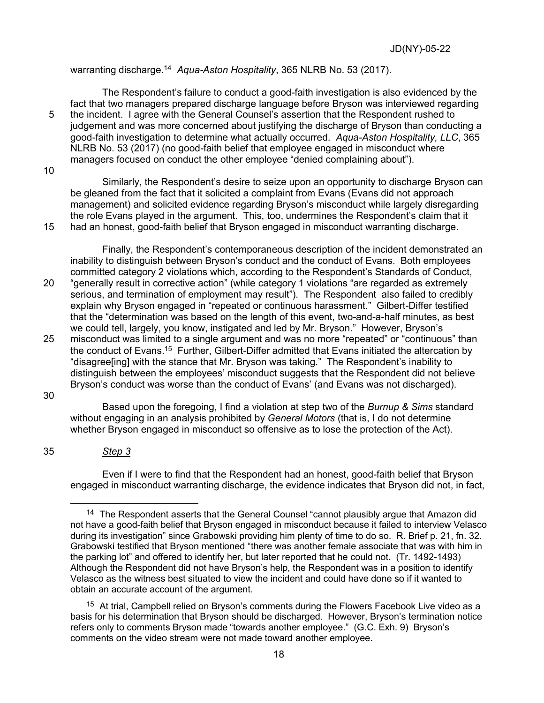warranting discharge.<sup>14</sup> *Aqua-Aston Hospitality*, 365 NLRB No. 53 (2017).

The Respondent's failure to conduct a good-faith investigation is also evidenced by the fact that two managers prepared discharge language before Bryson was interviewed regarding 5 the incident. I agree with the General Counsel's assertion that the Respondent rushed to judgement and was more concerned about justifying the discharge of Bryson than conducting a good-faith investigation to determine what actually occurred. *Aqua-Aston Hospitality, LLC*, 365 NLRB No. 53 (2017) (no good-faith belief that employee engaged in misconduct where managers focused on conduct the other employee "denied complaining about").

10

Similarly, the Respondent's desire to seize upon an opportunity to discharge Bryson can be gleaned from the fact that it solicited a complaint from Evans (Evans did not approach management) and solicited evidence regarding Bryson's misconduct while largely disregarding the role Evans played in the argument. This, too, undermines the Respondent's claim that it 15 had an honest, good-faith belief that Bryson engaged in misconduct warranting discharge.

Finally, the Respondent's contemporaneous description of the incident demonstrated an inability to distinguish between Bryson's conduct and the conduct of Evans. Both employees committed category 2 violations which, according to the Respondent's Standards of Conduct, 20 "generally result in corrective action" (while category 1 violations "are regarded as extremely serious, and termination of employment may result"). The Respondent also failed to credibly explain why Bryson engaged in "repeated or continuous harassment." Gilbert-Differ testified that the "determination was based on the length of this event, two-and-a-half minutes, as best we could tell, largely, you know, instigated and led by Mr. Bryson." However, Bryson's

25 misconduct was limited to a single argument and was no more "repeated" or "continuous" than the conduct of Evans.15 Further, Gilbert-Differ admitted that Evans initiated the altercation by "disagree[ing] with the stance that Mr. Bryson was taking." The Respondent's inability to distinguish between the employees' misconduct suggests that the Respondent did not believe Bryson's conduct was worse than the conduct of Evans' (and Evans was not discharged).

without engaging in an analysis prohibited by *General Motors* (that is, I do not determine whether Bryson engaged in misconduct so offensive as to lose the protection of the Act).

30

35 *Step 3*

Even if I were to find that the Respondent had an honest, good-faith belief that Bryson engaged in misconduct warranting discharge, the evidence indicates that Bryson did not, in fact,

Based upon the foregoing, I find a violation at step two of the *Burnup & Sims* standard

 $14$  The Respondent asserts that the General Counsel "cannot plausibly argue that Amazon did not have a good-faith belief that Bryson engaged in misconduct because it failed to interview Velasco during its investigation" since Grabowski providing him plenty of time to do so. R. Brief p. 21, fn. 32. Grabowski testified that Bryson mentioned "there was another female associate that was with him in the parking lot" and offered to identify her, but later reported that he could not. (Tr. 1492-1493) Although the Respondent did not have Bryson's help, the Respondent was in a position to identify Velasco as the witness best situated to view the incident and could have done so if it wanted to obtain an accurate account of the argument.

<sup>&</sup>lt;sup>15</sup> At trial, Campbell relied on Bryson's comments during the Flowers Facebook Live video as a basis for his determination that Bryson should be discharged. However, Bryson's termination notice refers only to comments Bryson made "towards another employee." (G.C. Exh. 9) Bryson's comments on the video stream were not made toward another employee.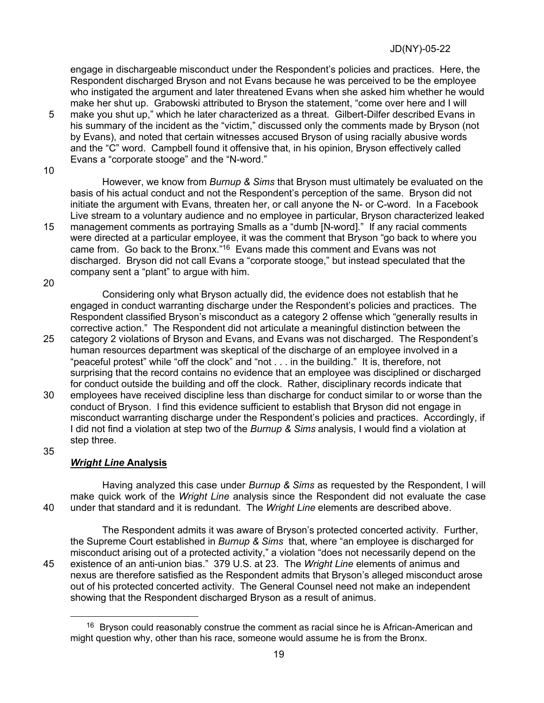engage in dischargeable misconduct under the Respondent's policies and practices. Here, the Respondent discharged Bryson and not Evans because he was perceived to be the employee who instigated the argument and later threatened Evans when she asked him whether he would make her shut up. Grabowski attributed to Bryson the statement, "come over here and I will

- 5 make you shut up," which he later characterized as a threat. Gilbert-Dilfer described Evans in his summary of the incident as the "victim," discussed only the comments made by Bryson (not by Evans), and noted that certain witnesses accused Bryson of using racially abusive words and the "C" word. Campbell found it offensive that, in his opinion, Bryson effectively called Evans a "corporate stooge" and the "N-word."
- 10

However, we know from *Burnup & Sims* that Bryson must ultimately be evaluated on the basis of his actual conduct and not the Respondent's perception of the same. Bryson did not initiate the argument with Evans, threaten her, or call anyone the N- or C-word. In a Facebook Live stream to a voluntary audience and no employee in particular, Bryson characterized leaked 15 management comments as portraying Smalls as a "dumb [N-word]." If any racial comments were directed at a particular employee, it was the comment that Bryson "go back to where you

came from. Go back to the Bronx."16 Evans made this comment and Evans was not discharged. Bryson did not call Evans a "corporate stooge," but instead speculated that the company sent a "plant" to argue with him.

20

Considering only what Bryson actually did, the evidence does not establish that he engaged in conduct warranting discharge under the Respondent's policies and practices. The Respondent classified Bryson's misconduct as a category 2 offense which "generally results in corrective action." The Respondent did not articulate a meaningful distinction between the

- 25 category 2 violations of Bryson and Evans, and Evans was not discharged. The Respondent's human resources department was skeptical of the discharge of an employee involved in a "peaceful protest" while "off the clock" and "not . . . in the building." It is, therefore, not surprising that the record contains no evidence that an employee was disciplined or discharged for conduct outside the building and off the clock. Rather, disciplinary records indicate that
- 30 employees have received discipline less than discharge for conduct similar to or worse than the conduct of Bryson. I find this evidence sufficient to establish that Bryson did not engage in misconduct warranting discharge under the Respondent's policies and practices. Accordingly, if I did not find a violation at step two of the *Burnup & Sims* analysis, I would find a violation at step three.
- 35

# *Wright Line* **Analysis**

Having analyzed this case under *Burnup & Sims* as requested by the Respondent, I will make quick work of the *Wright Line* analysis since the Respondent did not evaluate the case 40 under that standard and it is redundant. The *Wright Line* elements are described above.

The Respondent admits it was aware of Bryson's protected concerted activity. Further, the Supreme Court established in *Burnup & Sims* that, where "an employee is discharged for misconduct arising out of a protected activity," a violation "does not necessarily depend on the 45 existence of an anti-union bias." 379 U.S. at 23. The *Wright Line* elements of animus and nexus are therefore satisfied as the Respondent admits that Bryson's alleged misconduct arose out of his protected concerted activity. The General Counsel need not make an independent showing that the Respondent discharged Bryson as a result of animus.

 $16$  Bryson could reasonably construe the comment as racial since he is African-American and might question why, other than his race, someone would assume he is from the Bronx.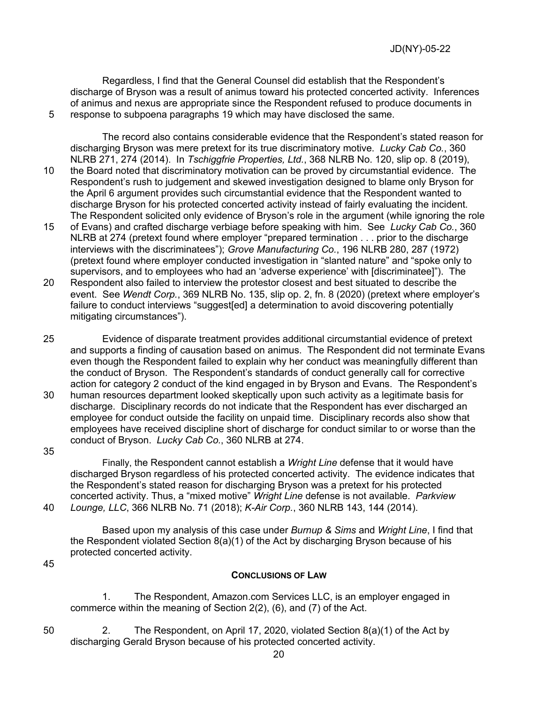Regardless, I find that the General Counsel did establish that the Respondent's discharge of Bryson was a result of animus toward his protected concerted activity. Inferences of animus and nexus are appropriate since the Respondent refused to produce documents in 5 response to subpoena paragraphs 19 which may have disclosed the same.

The record also contains considerable evidence that the Respondent's stated reason for discharging Bryson was mere pretext for its true discriminatory motive. *Lucky Cab Co.*, 360 NLRB 271, 274 (2014). In *Tschiggfrie Properties, Ltd.*, 368 NLRB No. 120, slip op. 8 (2019), 10 the Board noted that discriminatory motivation can be proved by circumstantial evidence. The Respondent's rush to judgement and skewed investigation designed to blame only Bryson for the April 6 argument provides such circumstantial evidence that the Respondent wanted to discharge Bryson for his protected concerted activity instead of fairly evaluating the incident.

- The Respondent solicited only evidence of Bryson's role in the argument (while ignoring the role 15 of Evans) and crafted discharge verbiage before speaking with him. See *Lucky Cab Co.*, 360 NLRB at 274 (pretext found where employer "prepared termination . . . prior to the discharge interviews with the discriminatees"); *Grove Manufacturing Co.*, 196 NLRB 280, 287 (1972) (pretext found where employer conducted investigation in "slanted nature" and "spoke only to supervisors, and to employees who had an 'adverse experience' with [discriminatee]"). The
- 20 Respondent also failed to interview the protestor closest and best situated to describe the event. See *Wendt Corp.*, 369 NLRB No. 135, slip op. 2, fn. 8 (2020) (pretext where employer's failure to conduct interviews "suggest[ed] a determination to avoid discovering potentially mitigating circumstances").
- 25 Evidence of disparate treatment provides additional circumstantial evidence of pretext and supports a finding of causation based on animus. The Respondent did not terminate Evans even though the Respondent failed to explain why her conduct was meaningfully different than the conduct of Bryson. The Respondent's standards of conduct generally call for corrective action for category 2 conduct of the kind engaged in by Bryson and Evans. The Respondent's
- 30 human resources department looked skeptically upon such activity as a legitimate basis for discharge. Disciplinary records do not indicate that the Respondent has ever discharged an employee for conduct outside the facility on unpaid time. Disciplinary records also show that employees have received discipline short of discharge for conduct similar to or worse than the conduct of Bryson. *Lucky Cab Co.*, 360 NLRB at 274.
- 35

Finally, the Respondent cannot establish a *Wright Line* defense that it would have discharged Bryson regardless of his protected concerted activity. The evidence indicates that the Respondent's stated reason for discharging Bryson was a pretext for his protected concerted activity. Thus, a "mixed motive" *Wright Line* defense is not available. *Parkview*  40 *Lounge, LLC*, 366 NLRB No. 71 (2018); *K-Air Corp.*, 360 NLRB 143, 144 (2014).

Based upon my analysis of this case under *Burnup & Sims* and *Wright Line*, I find that the Respondent violated Section  $8(a)(1)$  of the Act by discharging Bryson because of his protected concerted activity.

45

# **CONCLUSIONS OF LAW**

1. The Respondent, Amazon.com Services LLC, is an employer engaged in commerce within the meaning of Section 2(2), (6), and (7) of the Act.

50 2. The Respondent, on April 17, 2020, violated Section 8(a)(1) of the Act by discharging Gerald Bryson because of his protected concerted activity.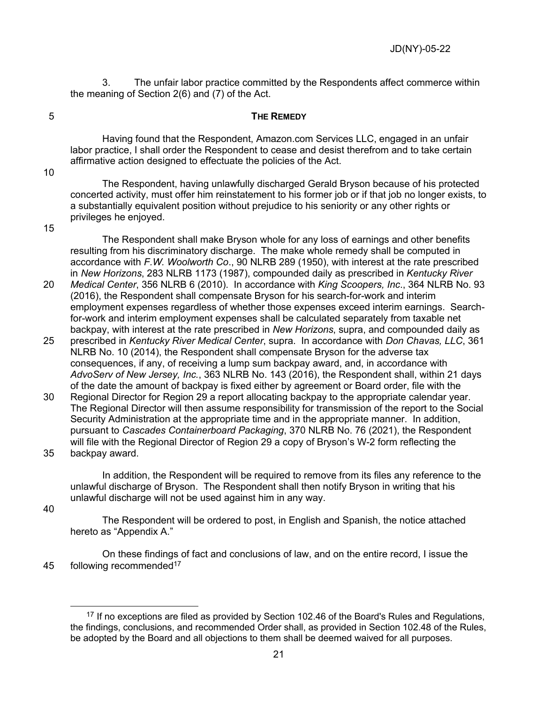3. The unfair labor practice committed by the Respondents affect commerce within the meaning of Section 2(6) and (7) of the Act.

#### 5 **THE REMEDY**

Having found that the Respondent, Amazon.com Services LLC, engaged in an unfair labor practice, I shall order the Respondent to cease and desist therefrom and to take certain affirmative action designed to effectuate the policies of the Act.

10

The Respondent, having unlawfully discharged Gerald Bryson because of his protected concerted activity, must offer him reinstatement to his former job or if that job no longer exists, to a substantially equivalent position without prejudice to his seniority or any other rights or privileges he enjoyed.

15

The Respondent shall make Bryson whole for any loss of earnings and other benefits resulting from his discriminatory discharge. The make whole remedy shall be computed in accordance with *F.W. Woolworth Co*., 90 NLRB 289 (1950), with interest at the rate prescribed in *New Horizons*, 283 NLRB 1173 (1987), compounded daily as prescribed in *Kentucky River* 

- 20 *Medical Center*, 356 NLRB 6 (2010). In accordance with *King Scoopers, Inc*., 364 NLRB No. 93 (2016), the Respondent shall compensate Bryson for his search-for-work and interim employment expenses regardless of whether those expenses exceed interim earnings. Searchfor-work and interim employment expenses shall be calculated separately from taxable net backpay, with interest at the rate prescribed in *New Horizons*, supra, and compounded daily as
- 25 prescribed in *Kentucky River Medical Center*, supra. In accordance with *Don Chavas, LLC*, 361 NLRB No. 10 (2014), the Respondent shall compensate Bryson for the adverse tax consequences, if any, of receiving a lump sum backpay award, and, in accordance with *AdvoServ of New Jersey, Inc.*, 363 NLRB No. 143 (2016), the Respondent shall, within 21 days of the date the amount of backpay is fixed either by agreement or Board order, file with the
- 30 Regional Director for Region 29 a report allocating backpay to the appropriate calendar year. The Regional Director will then assume responsibility for transmission of the report to the Social Security Administration at the appropriate time and in the appropriate manner. In addition, pursuant to *Cascades Containerboard Packaging*, 370 NLRB No. 76 (2021), the Respondent will file with the Regional Director of Region 29 a copy of Bryson's W-2 form reflecting the 35 backpay award.

In addition, the Respondent will be required to remove from its files any reference to the unlawful discharge of Bryson. The Respondent shall then notify Bryson in writing that his unlawful discharge will not be used against him in any way.

40

The Respondent will be ordered to post, in English and Spanish, the notice attached hereto as "Appendix A."

On these findings of fact and conclusions of law, and on the entire record, I issue the 45 following recommended<sup>17</sup>

<sup>&</sup>lt;sup>17</sup> If no exceptions are filed as provided by Section 102.46 of the Board's Rules and Regulations, the findings, conclusions, and recommended Order shall, as provided in Section 102.48 of the Rules, be adopted by the Board and all objections to them shall be deemed waived for all purposes.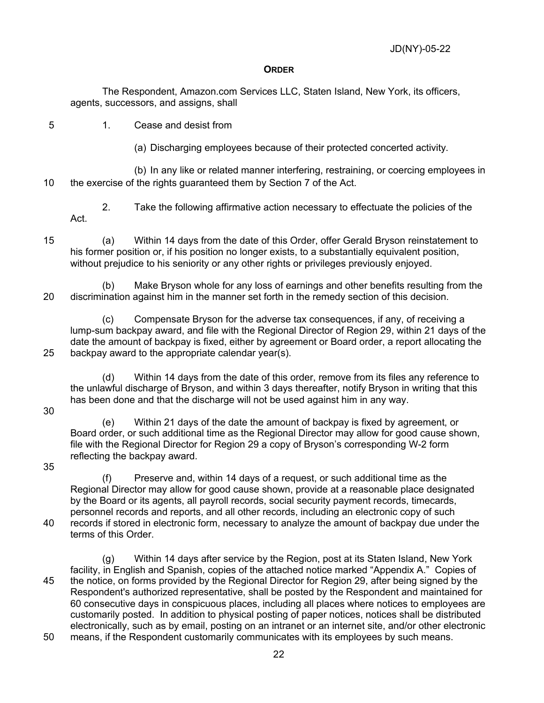#### **ORDER**

The Respondent, Amazon.com Services LLC, Staten Island, New York, its officers, agents, successors, and assigns, shall

5 1. Cease and desist from

(a) Discharging employees because of their protected concerted activity.

(b) In any like or related manner interfering, restraining, or coercing employees in 10 the exercise of the rights guaranteed them by Section 7 of the Act.

2. Take the following affirmative action necessary to effectuate the policies of the Act.

15 (a) Within 14 days from the date of this Order, offer Gerald Bryson reinstatement to his former position or, if his position no longer exists, to a substantially equivalent position, without prejudice to his seniority or any other rights or privileges previously enjoyed.

(b) Make Bryson whole for any loss of earnings and other benefits resulting from the 20 discrimination against him in the manner set forth in the remedy section of this decision.

(c) Compensate Bryson for the adverse tax consequences, if any, of receiving a lump-sum backpay award, and file with the Regional Director of Region 29, within 21 days of the date the amount of backpay is fixed, either by agreement or Board order, a report allocating the 25 backpay award to the appropriate calendar year(s).

(d) Within 14 days from the date of this order, remove from its files any reference to the unlawful discharge of Bryson, and within 3 days thereafter, notify Bryson in writing that this has been done and that the discharge will not be used against him in any way.

30

(e) Within 21 days of the date the amount of backpay is fixed by agreement, or Board order, or such additional time as the Regional Director may allow for good cause shown, file with the Regional Director for Region 29 a copy of Bryson's corresponding W-2 form reflecting the backpay award.

35

(f) Preserve and, within 14 days of a request, or such additional time as the Regional Director may allow for good cause shown, provide at a reasonable place designated by the Board or its agents, all payroll records, social security payment records, timecards, personnel records and reports, and all other records, including an electronic copy of such 40 records if stored in electronic form, necessary to analyze the amount of backpay due under the terms of this Order.

(g) Within 14 days after service by the Region, post at its Staten Island, New York facility, in English and Spanish, copies of the attached notice marked "Appendix A." Copies of 45 the notice, on forms provided by the Regional Director for Region 29, after being signed by the Respondent's authorized representative, shall be posted by the Respondent and maintained for 60 consecutive days in conspicuous places, including all places where notices to employees are customarily posted. In addition to physical posting of paper notices, notices shall be distributed electronically, such as by email, posting on an intranet or an internet site, and/or other electronic

50 means, if the Respondent customarily communicates with its employees by such means.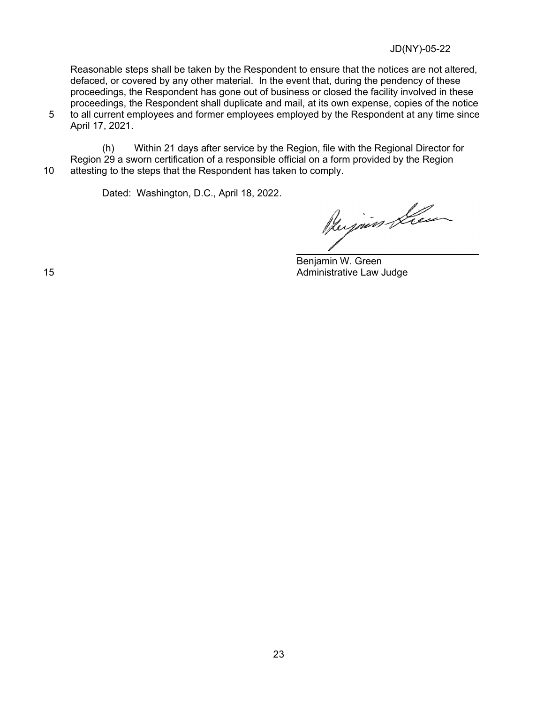Reasonable steps shall be taken by the Respondent to ensure that the notices are not altered, defaced, or covered by any other material. In the event that, during the pendency of these proceedings, the Respondent has gone out of business or closed the facility involved in these proceedings, the Respondent shall duplicate and mail, at its own expense, copies of the notice 5 to all current employees and former employees employed by the Respondent at any time since

April 17, 2021.

(h) Within 21 days after service by the Region, file with the Regional Director for Region 29 a sworn certification of a responsible official on a form provided by the Region 10 attesting to the steps that the Respondent has taken to comply.

Dated: Washington, D.C., April 18, 2022.

Bujier Lieu

Benjamin W. Green 15 **Administrative Law Judge Contracts Administrative Law Judge**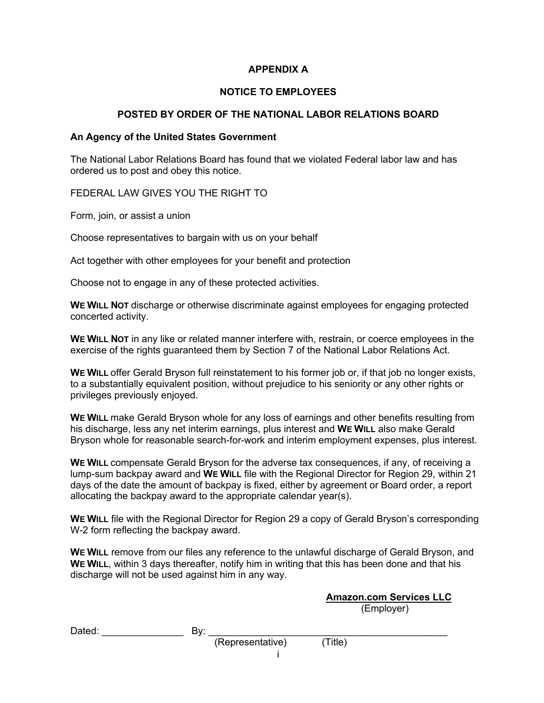# **APPENDIX A**

## **NOTICE TO EMPLOYEES**

# **POSTED BY ORDER OF THE NATIONAL LABOR RELATIONS BOARD**

#### **An Agency of the United States Government**

The National Labor Relations Board has found that we violated Federal labor law and has ordered us to post and obey this notice.

FEDERAL LAW GIVES YOU THE RIGHT TO

Form, join, or assist a union

Choose representatives to bargain with us on your behalf

Act together with other employees for your benefit and protection

Choose not to engage in any of these protected activities.

**WE WILL NOT** discharge or otherwise discriminate against employees for engaging protected concerted activity.

**WE WILL NOT** in any like or related manner interfere with, restrain, or coerce employees in the exercise of the rights guaranteed them by Section 7 of the National Labor Relations Act.

**WE WILL** offer Gerald Bryson full reinstatement to his former job or, if that job no longer exists, to a substantially equivalent position, without prejudice to his seniority or any other rights or privileges previously enjoyed.

**WE WILL** make Gerald Bryson whole for any loss of earnings and other benefits resulting from his discharge, less any net interim earnings, plus interest and **WE WILL** also make Gerald Bryson whole for reasonable search-for-work and interim employment expenses, plus interest.

**WE WILL** compensate Gerald Bryson for the adverse tax consequences, if any, of receiving a lump-sum backpay award and **WE WILL** file with the Regional Director for Region 29, within 21 days of the date the amount of backpay is fixed, either by agreement or Board order, a report allocating the backpay award to the appropriate calendar year(s).

**WE WILL** file with the Regional Director for Region 29 a copy of Gerald Bryson's corresponding W-2 form reflecting the backpay award.

**WE WILL** remove from our files any reference to the unlawful discharge of Gerald Bryson, and **WE WILL**, within 3 days thereafter, notify him in writing that this has been done and that his discharge will not be used against him in any way.

> **Amazon.com Services LLC** (Employer)

Dated: By:

(Representative) (Title)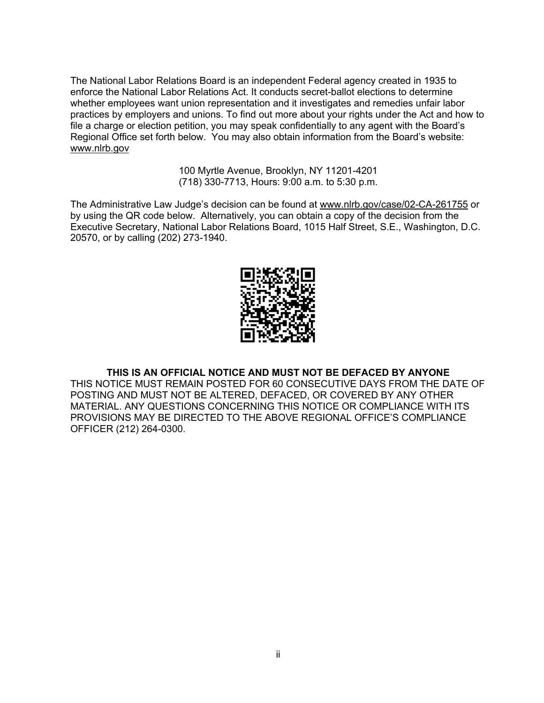The National Labor Relations Board is an independent Federal agency created in 1935 to enforce the National Labor Relations Act. It conducts secret-ballot elections to determine whether employees want union representation and it investigates and remedies unfair labor practices by employers and unions. To find out more about your rights under the Act and how to file a charge or election petition, you may speak confidentially to any agent with the Board's Regional Office set forth below. You may also obtain information from the Board's website: www.nlrb.gov

> 100 Myrtle Avenue, Brooklyn, NY 11201-4201 (718) 330-7713, Hours: 9:00 a.m. to 5:30 p.m.

The Administrative Law Judge's decision can be found at www.nlrb.gov/case/02-CA-261755 or by using the QR code below. Alternatively, you can obtain a copy of the decision from the Executive Secretary, National Labor Relations Board, 1015 Half Street, S.E., Washington, D.C. 20570, or by calling (202) 273-1940.



#### **THIS IS AN OFFICIAL NOTICE AND MUST NOT BE DEFACED BY ANYONE**

THIS NOTICE MUST REMAIN POSTED FOR 60 CONSECUTIVE DAYS FROM THE DATE OF POSTING AND MUST NOT BE ALTERED, DEFACED, OR COVERED BY ANY OTHER MATERIAL. ANY QUESTIONS CONCERNING THIS NOTICE OR COMPLIANCE WITH ITS PROVISIONS MAY BE DIRECTED TO THE ABOVE REGIONAL OFFICE'S COMPLIANCE OFFICER (212) 264-0300.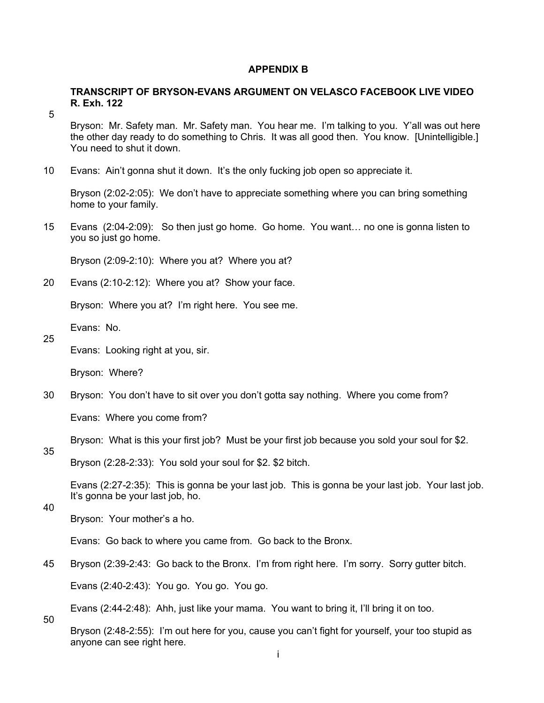#### **APPENDIX B**

### **TRANSCRIPT OF BRYSON-EVANS ARGUMENT ON VELASCO FACEBOOK LIVE VIDEO R. Exh. 122**

5

Bryson: Mr. Safety man. Mr. Safety man. You hear me. I'm talking to you. Y'all was out here the other day ready to do something to Chris. It was all good then. You know. [Unintelligible.] You need to shut it down.

10 Evans: Ain't gonna shut it down. It's the only fucking job open so appreciate it.

Bryson (2:02-2:05): We don't have to appreciate something where you can bring something home to your family.

15 Evans (2:04-2:09): So then just go home. Go home. You want… no one is gonna listen to you so just go home.

Bryson (2:09-2:10): Where you at? Where you at?

20 Evans (2:10-2:12): Where you at? Show your face.

Bryson: Where you at? I'm right here. You see me.

Evans: No.

25

Evans: Looking right at you, sir.

Bryson: Where?

30 Bryson: You don't have to sit over you don't gotta say nothing. Where you come from?

Evans: Where you come from?

Bryson: What is this your first job? Must be your first job because you sold your soul for \$2.

35

Bryson (2:28-2:33): You sold your soul for \$2. \$2 bitch.

Evans (2:27-2:35): This is gonna be your last job. This is gonna be your last job. Your last job. It's gonna be your last job, ho.

40

Bryson: Your mother's a ho.

Evans: Go back to where you came from. Go back to the Bronx.

45 Bryson (2:39-2:43: Go back to the Bronx. I'm from right here. I'm sorry. Sorry gutter bitch.

Evans (2:40-2:43): You go. You go. You go.

Evans (2:44-2:48): Ahh, just like your mama. You want to bring it, I'll bring it on too.

50

Bryson (2:48-2:55): I'm out here for you, cause you can't fight for yourself, your too stupid as anyone can see right here.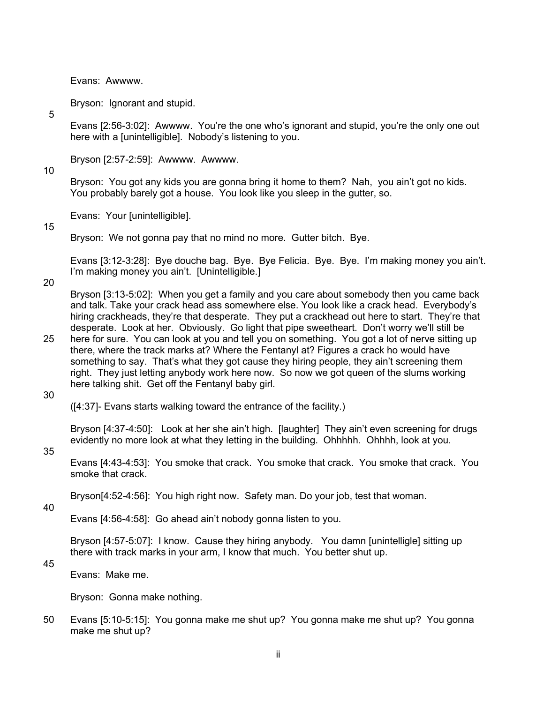Evans: Awwww.

Bryson: Ignorant and stupid.

5

Evans [2:56-3:02]: Awwww. You're the one who's ignorant and stupid, you're the only one out here with a [unintelligible]. Nobody's listening to you.

Bryson [2:57-2:59]: Awwww. Awwww.

10

Bryson: You got any kids you are gonna bring it home to them? Nah, you ain't got no kids. You probably barely got a house. You look like you sleep in the gutter, so.

Evans: Your [unintelligible].

#### 15

Bryson: We not gonna pay that no mind no more. Gutter bitch. Bye.

Evans [3:12-3:28]: Bye douche bag. Bye. Bye Felicia. Bye. Bye. I'm making money you ain't. I'm making money you ain't. [Unintelligible.]

20

Bryson [3:13-5:02]: When you get a family and you care about somebody then you came back and talk. Take your crack head ass somewhere else. You look like a crack head. Everybody's hiring crackheads, they're that desperate. They put a crackhead out here to start. They're that desperate. Look at her. Obviously. Go light that pipe sweetheart. Don't worry we'll still be

25 here for sure. You can look at you and tell you on something. You got a lot of nerve sitting up there, where the track marks at? Where the Fentanyl at? Figures a crack ho would have something to say. That's what they got cause they hiring people, they ain't screening them right. They just letting anybody work here now. So now we got queen of the slums working here talking shit. Get off the Fentanyl baby girl.

30

([4:37]- Evans starts walking toward the entrance of the facility.)

Bryson [4:37-4:50]: Look at her she ain't high. [laughter] They ain't even screening for drugs evidently no more look at what they letting in the building. Ohhhhh. Ohhhh, look at you.

#### 35

Evans [4:43-4:53]: You smoke that crack. You smoke that crack. You smoke that crack. You smoke that crack.

Bryson[4:52-4:56]: You high right now. Safety man. Do your job, test that woman.

40

Evans [4:56-4:58]: Go ahead ain't nobody gonna listen to you.

Bryson [4:57-5:07]: I know. Cause they hiring anybody. You damn [unintelligle] sitting up there with track marks in your arm, I know that much. You better shut up.

45

Evans: Make me.

Bryson: Gonna make nothing.

50 Evans [5:10-5:15]: You gonna make me shut up? You gonna make me shut up? You gonna make me shut up?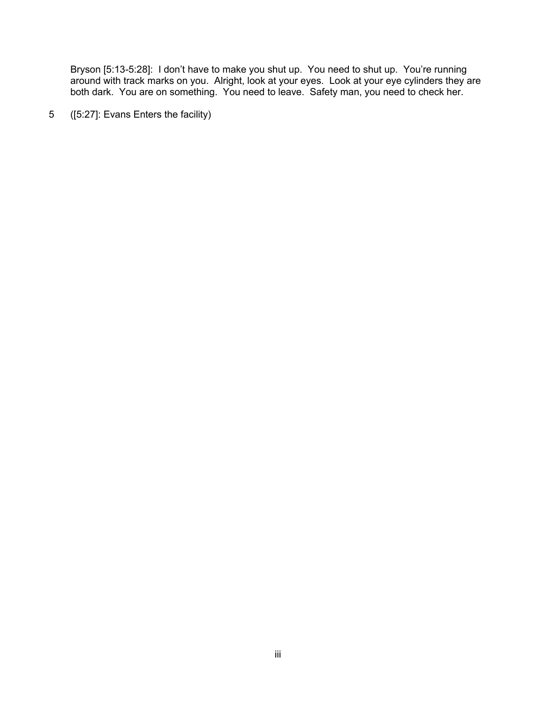Bryson [5:13-5:28]: I don't have to make you shut up. You need to shut up. You're running around with track marks on you. Alright, look at your eyes. Look at your eye cylinders they are both dark. You are on something. You need to leave. Safety man, you need to check her.

5 ([5:27]: Evans Enters the facility)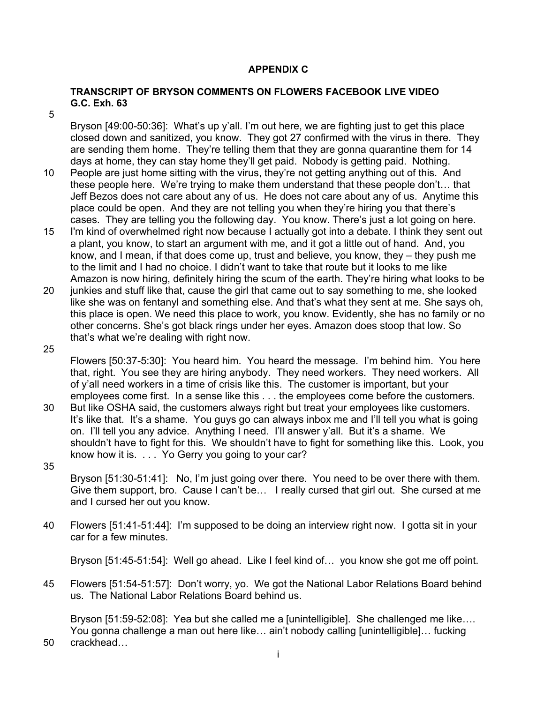# **APPENDIX C**

## **TRANSCRIPT OF BRYSON COMMENTS ON FLOWERS FACEBOOK LIVE VIDEO G.C. Exh. 63**

5

Bryson [49:00-50:36]: What's up y'all. I'm out here, we are fighting just to get this place closed down and sanitized, you know. They got 27 confirmed with the virus in there. They are sending them home. They're telling them that they are gonna quarantine them for 14 days at home, they can stay home they'll get paid. Nobody is getting paid. Nothing.

- 10 People are just home sitting with the virus, they're not getting anything out of this. And these people here. We're trying to make them understand that these people don't… that Jeff Bezos does not care about any of us. He does not care about any of us. Anytime this place could be open. And they are not telling you when they're hiring you that there's cases. They are telling you the following day. You know. There's just a lot going on here.
- 15 I'm kind of overwhelmed right now because I actually got into a debate. I think they sent out a plant, you know, to start an argument with me, and it got a little out of hand. And, you know, and I mean, if that does come up, trust and believe, you know, they – they push me to the limit and I had no choice. I didn't want to take that route but it looks to me like Amazon is now hiring, definitely hiring the scum of the earth. They're hiring what looks to be
- 20 junkies and stuff like that, cause the girl that came out to say something to me, she looked like she was on fentanyl and something else. And that's what they sent at me. She says oh, this place is open. We need this place to work, you know. Evidently, she has no family or no other concerns. She's got black rings under her eyes. Amazon does stoop that low. So that's what we're dealing with right now.
- 25

Flowers [50:37-5:30]: You heard him. You heard the message. I'm behind him. You here that, right. You see they are hiring anybody. They need workers. They need workers. All of y'all need workers in a time of crisis like this. The customer is important, but your employees come first. In a sense like this . . . the employees come before the customers.

- 30 But like OSHA said, the customers always right but treat your employees like customers. It's like that. It's a shame. You guys go can always inbox me and I'll tell you what is going on. I'll tell you any advice. Anything I need. I'll answer y'all. But it's a shame. We shouldn't have to fight for this. We shouldn't have to fight for something like this. Look, you know how it is. . . . Yo Gerry you going to your car? 35
	- Bryson [51:30-51:41]: No, I'm just going over there. You need to be over there with them. Give them support, bro. Cause I can't be… I really cursed that girl out. She cursed at me and I cursed her out you know.
- 40 Flowers [51:41-51:44]: I'm supposed to be doing an interview right now. I gotta sit in your car for a few minutes.

Bryson [51:45-51:54]: Well go ahead. Like I feel kind of… you know she got me off point.

45 Flowers [51:54-51:57]: Don't worry, yo. We got the National Labor Relations Board behind us. The National Labor Relations Board behind us.

Bryson [51:59-52:08]: Yea but she called me a [unintelligible]. She challenged me like.... You gonna challenge a man out here like… ain't nobody calling [unintelligible]… fucking

50 crackhead…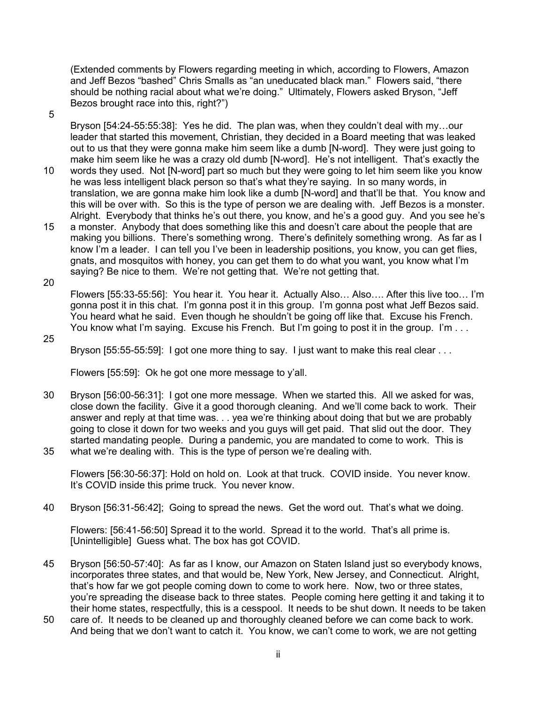(Extended comments by Flowers regarding meeting in which, according to Flowers, Amazon and Jeff Bezos "bashed" Chris Smalls as "an uneducated black man." Flowers said, "there should be nothing racial about what we're doing." Ultimately, Flowers asked Bryson, "Jeff Bezos brought race into this, right?")

5

Bryson [54:24-55:55:38]: Yes he did. The plan was, when they couldn't deal with my…our leader that started this movement, Christian, they decided in a Board meeting that was leaked out to us that they were gonna make him seem like a dumb [N-word]. They were just going to make him seem like he was a crazy old dumb [N-word]. He's not intelligent. That's exactly the

- 10 words they used. Not [N-word] part so much but they were going to let him seem like you know he was less intelligent black person so that's what they're saying. In so many words, in translation, we are gonna make him look like a dumb [N-word] and that'll be that. You know and this will be over with. So this is the type of person we are dealing with. Jeff Bezos is a monster. Alright. Everybody that thinks he's out there, you know, and he's a good guy. And you see he's
- 15 a monster. Anybody that does something like this and doesn't care about the people that are making you billions. There's something wrong. There's definitely something wrong. As far as I know I'm a leader. I can tell you I've been in leadership positions, you know, you can get flies, gnats, and mosquitos with honey, you can get them to do what you want, you know what I'm saying? Be nice to them. We're not getting that. We're not getting that.
- 20

Flowers [55:33-55:56]: You hear it. You hear it. Actually Also… Also…. After this live too… I'm gonna post it in this chat. I'm gonna post it in this group. I'm gonna post what Jeff Bezos said. You heard what he said. Even though he shouldn't be going off like that. Excuse his French. You know what I'm saying. Excuse his French. But I'm going to post it in the group. I'm . . .

25

Bryson [55:55-55:59]: I got one more thing to say. I just want to make this real clear . . .

Flowers [55:59]: Ok he got one more message to y'all.

30 Bryson [56:00-56:31]: I got one more message. When we started this. All we asked for was, close down the facility. Give it a good thorough cleaning. And we'll come back to work. Their answer and reply at that time was. . . yea we're thinking about doing that but we are probably going to close it down for two weeks and you guys will get paid. That slid out the door. They started mandating people. During a pandemic, you are mandated to come to work. This is 35 what we're dealing with. This is the type of person we're dealing with.

Flowers [56:30-56:37]: Hold on hold on. Look at that truck. COVID inside. You never know. It's COVID inside this prime truck. You never know.

40 Bryson [56:31-56:42]; Going to spread the news. Get the word out. That's what we doing.

Flowers: [56:41-56:50] Spread it to the world. Spread it to the world. That's all prime is. [Unintelligible] Guess what. The box has got COVID.

- 45 Bryson [56:50-57:40]: As far as I know, our Amazon on Staten Island just so everybody knows, incorporates three states, and that would be, New York, New Jersey, and Connecticut. Alright, that's how far we got people coming down to come to work here. Now, two or three states, you're spreading the disease back to three states. People coming here getting it and taking it to their home states, respectfully, this is a cesspool. It needs to be shut down. It needs to be taken
- 50 care of. It needs to be cleaned up and thoroughly cleaned before we can come back to work. And being that we don't want to catch it. You know, we can't come to work, we are not getting